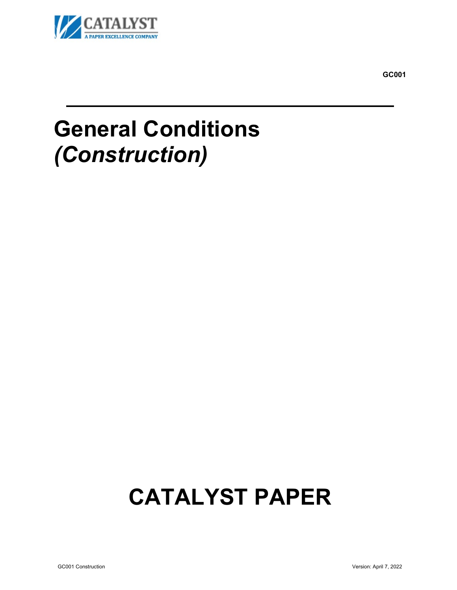

**GC001**

## **General Conditions**  *(Construction)*

# **CATALYST PAPER**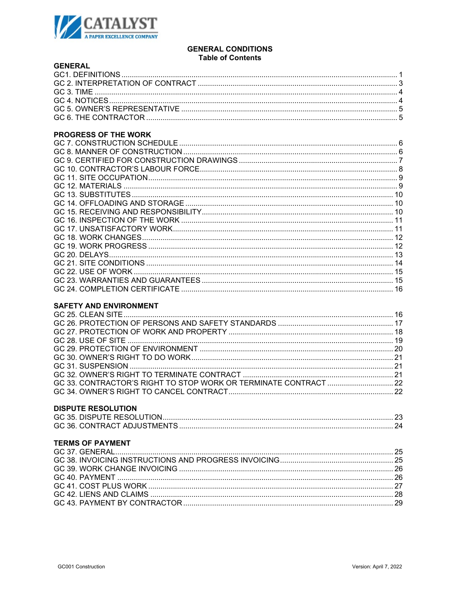

#### **GENERAL CONDITIONS Table of Contents**

| <b>GENERAL</b> |  |
|----------------|--|
|                |  |
|                |  |
|                |  |
|                |  |
|                |  |
|                |  |
|                |  |

## **PROGRESS OF THE WORK**

## **SAFETY AND ENVIRONMENT**

| <b>DISPUTE RESOLUTION</b> |  |
|---------------------------|--|
|                           |  |
|                           |  |
| <b>TERMS OF PAYMENT</b>   |  |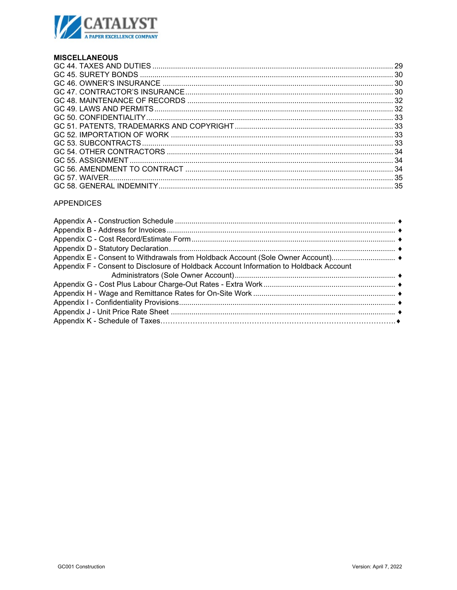

## **MISCELLANEOUS**

## **APPENDICES**

| Appendix E - Consent to Withdrawals from Holdback Account (Sole Owner Account) ♦       |
|----------------------------------------------------------------------------------------|
| Appendix F - Consent to Disclosure of Holdback Account Information to Holdback Account |
|                                                                                        |
|                                                                                        |
|                                                                                        |
|                                                                                        |
|                                                                                        |
|                                                                                        |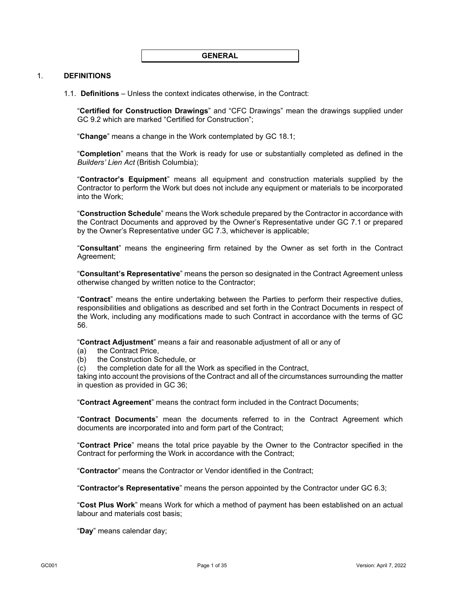#### <span id="page-3-0"></span>1. **DEFINITIONS**

1.1. **Definitions** – Unless the context indicates otherwise, in the Contract:

"**Certified for Construction Drawings**" and "CFC Drawings" mean the drawings supplied under GC [9.2](#page-9-0) which are marked "Certified for Construction";

"**Change**" means a change in the Work contemplated by GC [18.1;](#page-14-0)

"**Completion**" means that the Work is ready for use or substantially completed as defined in the *Builders' Lien Act* (British Columbia);

"**Contractor's Equipment**" means all equipment and construction materials supplied by the Contractor to perform the Work but does not include any equipment or materials to be incorporated into the Work;

"**Construction Schedule**" means the Work schedule prepared by the Contractor in accordance with the Contract Documents and approved by the Owner's Representative under GC [7.1](#page-8-0) or prepared by the Owner's Representative under GC [7.3,](#page-8-1) whichever is applicable;

"**Consultant**" means the engineering firm retained by the Owner as set forth in the Contract Agreement;

"**Consultant's Representative**" means the person so designated in the Contract Agreement unless otherwise changed by written notice to the Contractor;

"**Contract**" means the entire undertaking between the Parties to perform their respective duties, responsibilities and obligations as described and set forth in the Contract Documents in respect of the Work, including any modifications made to such Contract in accordance with the terms of GC [56.](#page-36-0)

"**Contract Adjustment**" means a fair and reasonable adjustment of all or any of

- (a) the Contract Price,
- (b) the Construction Schedule, or
- (c) the completion date for all the Work as specified in the Contract,

taking into account the provisions of the Contract and all of the circumstances surrounding the matter in question as provided in GC [36;](#page-26-0)

"**Contract Agreement**" means the contract form included in the Contract Documents;

"**Contract Documents**" mean the documents referred to in the Contract Agreement which documents are incorporated into and form part of the Contract;

"**Contract Price**" means the total price payable by the Owner to the Contractor specified in the Contract for performing the Work in accordance with the Contract;

"**Contractor**" means the Contractor or Vendor identified in the Contract;

"**Contractor's Representative**" means the person appointed by the Contractor under GC [6.3;](#page-7-0)

"**Cost Plus Work**" means Work for which a method of payment has been established on an actual labour and materials cost basis;

"**Day**" means calendar day;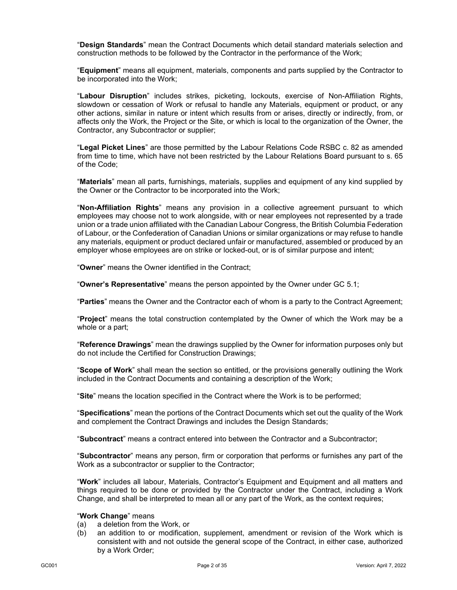"**Design Standards**" mean the Contract Documents which detail standard materials selection and construction methods to be followed by the Contractor in the performance of the Work;

"**Equipment**" means all equipment, materials, components and parts supplied by the Contractor to be incorporated into the Work;

"**Labour Disruption**" includes strikes, picketing, lockouts, exercise of Non-Affiliation Rights, slowdown or cessation of Work or refusal to handle any Materials, equipment or product, or any other actions, similar in nature or intent which results from or arises, directly or indirectly, from, or affects only the Work, the Project or the Site, or which is local to the organization of the Owner, the Contractor, any Subcontractor or supplier;

"**Legal Picket Lines**" are those permitted by the Labour Relations Code RSBC c. 82 as amended from time to time, which have not been restricted by the Labour Relations Board pursuant to s. 65 of the Code;

"**Materials**" mean all parts, furnishings, materials, supplies and equipment of any kind supplied by the Owner or the Contractor to be incorporated into the Work;

"**Non-Affiliation Rights**" means any provision in a collective agreement pursuant to which employees may choose not to work alongside, with or near employees not represented by a trade union or a trade union affiliated with the Canadian Labour Congress, the British Columbia Federation of Labour, or the Confederation of Canadian Unions or similar organizations or may refuse to handle any materials, equipment or product declared unfair or manufactured, assembled or produced by an employer whose employees are on strike or locked-out, or is of similar purpose and intent;

"**Owner**" means the Owner identified in the Contract;

"**Owner's Representative**" means the person appointed by the Owner under GC [5.1;](#page-7-1)

"**Parties**" means the Owner and the Contractor each of whom is a party to the Contract Agreement;

"**Project**" means the total construction contemplated by the Owner of which the Work may be a whole or a part;

"**Reference Drawings**" mean the drawings supplied by the Owner for information purposes only but do not include the Certified for Construction Drawings;

"**Scope of Work**" shall mean the section so entitled, or the provisions generally outlining the Work included in the Contract Documents and containing a description of the Work;

"**Site**" means the location specified in the Contract where the Work is to be performed;

"**Specifications**" mean the portions of the Contract Documents which set out the quality of the Work and complement the Contract Drawings and includes the Design Standards;

"**Subcontract**" means a contract entered into between the Contractor and a Subcontractor;

"**Subcontractor**" means any person, firm or corporation that performs or furnishes any part of the Work as a subcontractor or supplier to the Contractor;

"**Work**" includes all labour, Materials, Contractor's Equipment and Equipment and all matters and things required to be done or provided by the Contractor under the Contract, including a Work Change, and shall be interpreted to mean all or any part of the Work, as the context requires;

## "**Work Change**" means

- (a) a deletion from the Work, or
- (b) an addition to or modification, supplement, amendment or revision of the Work which is consistent with and not outside the general scope of the Contract, in either case, authorized by a Work Order;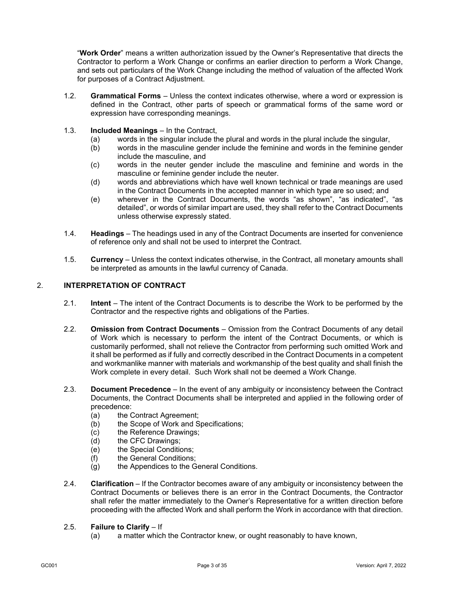"**Work Order**" means a written authorization issued by the Owner's Representative that directs the Contractor to perform a Work Change or confirms an earlier direction to perform a Work Change, and sets out particulars of the Work Change including the method of valuation of the affected Work for purposes of a Contract Adjustment.

- 1.2. **Grammatical Forms** Unless the context indicates otherwise, where a word or expression is defined in the Contract, other parts of speech or grammatical forms of the same word or expression have corresponding meanings.
- 1.3. **Included Meanings** In the Contract,
	- (a) words in the singular include the plural and words in the plural include the singular,
	- (b) words in the masculine gender include the feminine and words in the feminine gender include the masculine, and
	- (c) words in the neuter gender include the masculine and feminine and words in the masculine or feminine gender include the neuter.
	- (d) words and abbreviations which have well known technical or trade meanings are used in the Contract Documents in the accepted manner in which type are so used; and
	- (e) wherever in the Contract Documents, the words "as shown", "as indicated", "as detailed", or words of similar impart are used, they shall refer to the Contract Documents unless otherwise expressly stated.
- 1.4. **Headings** The headings used in any of the Contract Documents are inserted for convenience of reference only and shall not be used to interpret the Contract.
- 1.5. **Currency** Unless the context indicates otherwise, in the Contract, all monetary amounts shall be interpreted as amounts in the lawful currency of Canada.

#### 2. **INTERPRETATION OF CONTRACT**

- 2.1. **Intent** The intent of the Contract Documents is to describe the Work to be performed by the Contractor and the respective rights and obligations of the Parties.
- 2.2. **Omission from Contract Documents**  Omission from the Contract Documents of any detail of Work which is necessary to perform the intent of the Contract Documents, or which is customarily performed, shall not relieve the Contractor from performing such omitted Work and it shall be performed as if fully and correctly described in the Contract Documents in a competent and workmanlike manner with materials and workmanship of the best quality and shall finish the Work complete in every detail. Such Work shall not be deemed a Work Change.
- 2.3. **Document Precedence** In the event of any ambiguity or inconsistency between the Contract Documents, the Contract Documents shall be interpreted and applied in the following order of precedence:
	- (a) the Contract Agreement:
	- (b) the Scope of Work and Specifications;
	- (c) the Reference Drawings;
	- (d) the CFC Drawings;
	- (e) the Special Conditions;
	- (f) the General Conditions;
	- (g) the Appendices to the General Conditions.
- <span id="page-5-0"></span>2.4. **Clarification** – If the Contractor becomes aware of any ambiguity or inconsistency between the Contract Documents or believes there is an error in the Contract Documents, the Contractor shall refer the matter immediately to the Owner's Representative for a written direction before proceeding with the affected Work and shall perform the Work in accordance with that direction.

#### 2.5. **Failure to Clarify** – If

(a) a matter which the Contractor knew, or ought reasonably to have known,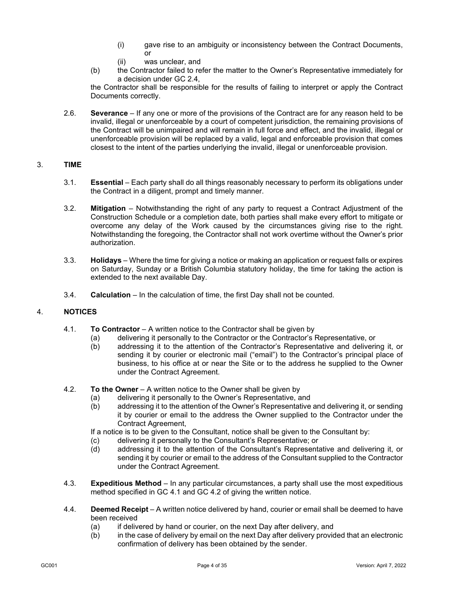- (i) gave rise to an ambiguity or inconsistency between the Contract Documents, or
- (ii) was unclear, and
- (b) the Contractor failed to refer the matter to the Owner's Representative immediately for a decision under GC [2.4,](#page-5-0)

the Contractor shall be responsible for the results of failing to interpret or apply the Contract Documents correctly.

2.6. **Severance** – If any one or more of the provisions of the Contract are for any reason held to be invalid, illegal or unenforceable by a court of competent jurisdiction, the remaining provisions of the Contract will be unimpaired and will remain in full force and effect, and the invalid, illegal or unenforceable provision will be replaced by a valid, legal and enforceable provision that comes closest to the intent of the parties underlying the invalid, illegal or unenforceable provision.

## 3. **TIME**

- 3.1. **Essential** Each party shall do all things reasonably necessary to perform its obligations under the Contract in a diligent, prompt and timely manner.
- 3.2. **Mitigation** Notwithstanding the right of any party to request a Contract Adjustment of the Construction Schedule or a completion date, both parties shall make every effort to mitigate or overcome any delay of the Work caused by the circumstances giving rise to the right. Notwithstanding the foregoing, the Contractor shall not work overtime without the Owner's prior authorization.
- 3.3. **Holidays** Where the time for giving a notice or making an application or request falls or expires on Saturday, Sunday or a British Columbia statutory holiday, the time for taking the action is extended to the next available Day.
- 3.4. **Calculation** In the calculation of time, the first Day shall not be counted.

## <span id="page-6-0"></span>4. **NOTICES**

- 4.1. **To Contractor** A written notice to the Contractor shall be given by
	- (a) delivering it personally to the Contractor or the Contractor's Representative, or
		- (b) addressing it to the attention of the Contractor's Representative and delivering it, or sending it by courier or electronic mail ("email") to the Contractor's principal place of business, to his office at or near the Site or to the address he supplied to the Owner under the Contract Agreement.
- <span id="page-6-1"></span>4.2. **To the Owner** – A written notice to the Owner shall be given by
	- (a) delivering it personally to the Owner's Representative, and
	- (b) addressing it to the attention of the Owner's Representative and delivering it, or sending it by courier or email to the address the Owner supplied to the Contractor under the Contract Agreement,

If a notice is to be given to the Consultant, notice shall be given to the Consultant by:

- (c) delivering it personally to the Consultant's Representative; or<br>(d) addressing it to the attention of the Consultant's Representa
- addressing it to the attention of the Consultant's Representative and delivering it, or sending it by courier or email to the address of the Consultant supplied to the Contractor under the Contract Agreement.
- 4.3. **Expeditious Method** In any particular circumstances, a party shall use the most expeditious method specified in GC [4.1](#page-6-0) and GC [4.2](#page-6-1) of giving the written notice.
- 4.4. **Deemed Receipt** A written notice delivered by hand, courier or email shall be deemed to have been received
	- (a) if delivered by hand or courier, on the next Day after delivery, and
	- (b) in the case of delivery by email on the next Day after delivery provided that an electronic confirmation of delivery has been obtained by the sender.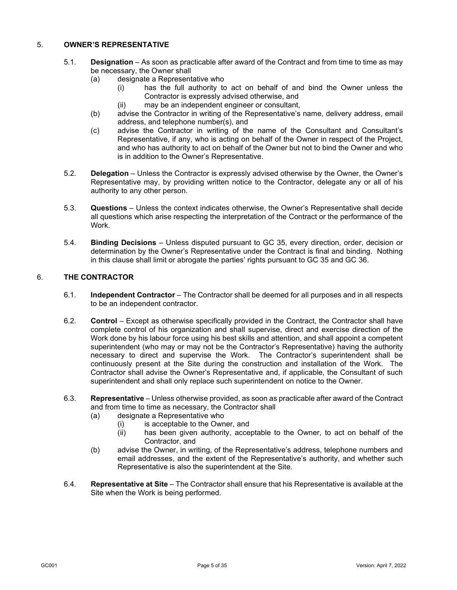## <span id="page-7-1"></span>5. **OWNER'S REPRESENTATIVE**

- 5.1. **Designation** As soon as practicable after award of the Contract and from time to time as may be necessary, the Owner shall
	- (a) designate a Representative who
		- (i) has the full authority to act on behalf of and bind the Owner unless the Contractor is expressly advised otherwise, and
		- (ii) may be an independent engineer or consultant,
	- (b) advise the Contractor in writing of the Representative's name, delivery address, email address, and telephone number(s), and
	- (c) advise the Contractor in writing of the name of the Consultant and Consultant's Representative, if any, who is acting on behalf of the Owner in respect of the Project, and who has authority to act on behalf of the Owner but not to bind the Owner and who is in addition to the Owner's Representative.
- 5.2. **Delegation** Unless the Contractor is expressly advised otherwise by the Owner, the Owner's Representative may, by providing written notice to the Contractor, delegate any or all of his authority to any other person.
- 5.3. **Questions** Unless the context indicates otherwise, the Owner's Representative shall decide all questions which arise respecting the interpretation of the Contract or the performance of the Work.
- 5.4. **Binding Decisions** Unless disputed pursuant to GC [35,](#page-25-0) every direction, order, decision or determination by the Owner's Representative under the Contract is final and binding. Nothing in this clause shall limit or abrogate the parties' rights pursuant to GC [35](#page-25-0) and GC [36.](#page-26-0)

## 6. **THE CONTRACTOR**

- 6.1. **Independent Contractor** The Contractor shall be deemed for all purposes and in all respects to be an independent contractor.
- 6.2. **Control** Except as otherwise specifically provided in the Contract, the Contractor shall have complete control of his organization and shall supervise, direct and exercise direction of the Work done by his labour force using his best skills and attention, and shall appoint a competent superintendent (who may or may not be the Contractor's Representative) having the authority necessary to direct and supervise the Work. The Contractor's superintendent shall be continuously present at the Site during the construction and installation of the Work. The Contractor shall advise the Owner's Representative and, if applicable, the Consultant of such superintendent and shall only replace such superintendent on notice to the Owner.
- <span id="page-7-0"></span>6.3. **Representative** – Unless otherwise provided, as soon as practicable after award of the Contract and from time to time as necessary, the Contractor shall
	- (a) designate a Representative who
		- (i) is acceptable to the Owner, and<br>(ii) has been given authority, acce
		- has been given authority, acceptable to the Owner, to act on behalf of the Contractor, and
	- (b) advise the Owner, in writing, of the Representative's address, telephone numbers and email addresses, and the extent of the Representative's authority, and whether such Representative is also the superintendent at the Site.
- 6.4. **Representative at Site**  The Contractor shall ensure that his Representative is available at the Site when the Work is being performed.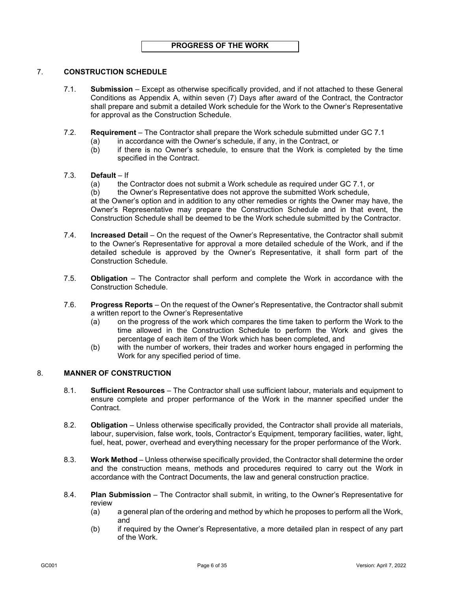## <span id="page-8-0"></span>7. **CONSTRUCTION SCHEDULE**

- 7.1. **Submission** Except as otherwise specifically provided, and if not attached to these General Conditions as Appendix A, within seven (7) Days after award of the Contract, the Contractor shall prepare and submit a detailed Work schedule for the Work to the Owner's Representative for approval as the Construction Schedule.
- 7.2. **Requirement** The Contractor shall prepare the Work schedule submitted under GC [7.1](#page-8-0)
	- (a) in accordance with the Owner's schedule, if any, in the Contract, or
	- (b) if there is no Owner's schedule, to ensure that the Work is completed by the time specified in the Contract.

#### <span id="page-8-1"></span>7.3. **Default** – If

- (a) the Contractor does not submit a Work schedule as required under GC [7.1,](#page-8-0) or
- (b) the Owner's Representative does not approve the submitted Work schedule,

at the Owner's option and in addition to any other remedies or rights the Owner may have, the Owner's Representative may prepare the Construction Schedule and in that event, the Construction Schedule shall be deemed to be the Work schedule submitted by the Contractor.

- 7.4. **Increased Detail** On the request of the Owner's Representative, the Contractor shall submit to the Owner's Representative for approval a more detailed schedule of the Work, and if the detailed schedule is approved by the Owner's Representative, it shall form part of the Construction Schedule.
- 7.5. **Obligation** The Contractor shall perform and complete the Work in accordance with the Construction Schedule.
- 7.6. **Progress Reports** On the request of the Owner's Representative, the Contractor shall submit a written report to the Owner's Representative
	- (a) on the progress of the work which compares the time taken to perform the Work to the time allowed in the Construction Schedule to perform the Work and gives the percentage of each item of the Work which has been completed, and
	- (b) with the number of workers, their trades and worker hours engaged in performing the Work for any specified period of time.

## 8. **MANNER OF CONSTRUCTION**

- 8.1. **Sufficient Resources** The Contractor shall use sufficient labour, materials and equipment to ensure complete and proper performance of the Work in the manner specified under the Contract.
- 8.2. **Obligation** Unless otherwise specifically provided, the Contractor shall provide all materials, labour, supervision, false work, tools, Contractor's Equipment, temporary facilities, water, light, fuel, heat, power, overhead and everything necessary for the proper performance of the Work.
- 8.3. **Work Method** Unless otherwise specifically provided, the Contractor shall determine the order and the construction means, methods and procedures required to carry out the Work in accordance with the Contract Documents, the law and general construction practice.
- 8.4. **Plan Submission** The Contractor shall submit, in writing, to the Owner's Representative for review
	- (a) a general plan of the ordering and method by which he proposes to perform all the Work, and
	- (b) if required by the Owner's Representative, a more detailed plan in respect of any part of the Work.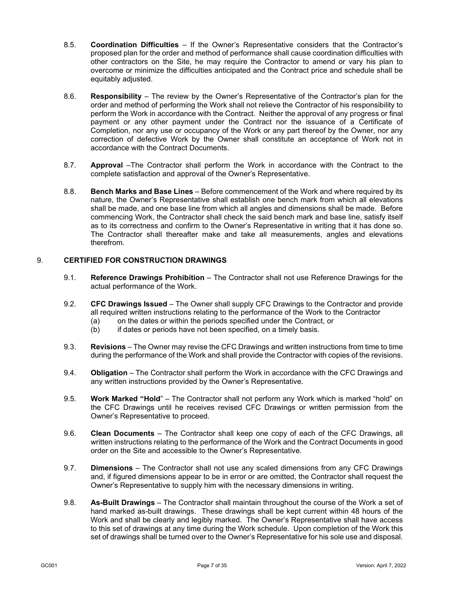- 8.5. **Coordination Difficulties** If the Owner's Representative considers that the Contractor's proposed plan for the order and method of performance shall cause coordination difficulties with other contractors on the Site, he may require the Contractor to amend or vary his plan to overcome or minimize the difficulties anticipated and the Contract price and schedule shall be equitably adjusted.
- 8.6. **Responsibility** The review by the Owner's Representative of the Contractor's plan for the order and method of performing the Work shall not relieve the Contractor of his responsibility to perform the Work in accordance with the Contract. Neither the approval of any progress or final payment or any other payment under the Contract nor the issuance of a Certificate of Completion, nor any use or occupancy of the Work or any part thereof by the Owner, nor any correction of defective Work by the Owner shall constitute an acceptance of Work not in accordance with the Contract Documents.
- 8.7. **Approval** –The Contractor shall perform the Work in accordance with the Contract to the complete satisfaction and approval of the Owner's Representative.
- 8.8. **Bench Marks and Base Lines** Before commencement of the Work and where required by its nature, the Owner's Representative shall establish one bench mark from which all elevations shall be made, and one base line from which all angles and dimensions shall be made. Before commencing Work, the Contractor shall check the said bench mark and base line, satisfy itself as to its correctness and confirm to the Owner's Representative in writing that it has done so. The Contractor shall thereafter make and take all measurements, angles and elevations therefrom.

## 9. **CERTIFIED FOR CONSTRUCTION DRAWINGS**

- 9.1. **Reference Drawings Prohibition** The Contractor shall not use Reference Drawings for the actual performance of the Work.
- <span id="page-9-0"></span>9.2. **CFC Drawings Issued** – The Owner shall supply CFC Drawings to the Contractor and provide all required written instructions relating to the performance of the Work to the Contractor
	- (a) on the dates or within the periods specified under the Contract, or (b) if dates or periods have not been specified, on a timely basis.
	- if dates or periods have not been specified, on a timely basis.
- 9.3. **Revisions** The Owner may revise the CFC Drawings and written instructions from time to time during the performance of the Work and shall provide the Contractor with copies of the revisions.
- 9.4. **Obligation** The Contractor shall perform the Work in accordance with the CFC Drawings and any written instructions provided by the Owner's Representative.
- 9.5. **Work Marked "Hold**" The Contractor shall not perform any Work which is marked "hold" on the CFC Drawings until he receives revised CFC Drawings or written permission from the Owner's Representative to proceed.
- 9.6. **Clean Documents** The Contractor shall keep one copy of each of the CFC Drawings, all written instructions relating to the performance of the Work and the Contract Documents in good order on the Site and accessible to the Owner's Representative.
- 9.7. **Dimensions** The Contractor shall not use any scaled dimensions from any CFC Drawings and, if figured dimensions appear to be in error or are omitted, the Contractor shall request the Owner's Representative to supply him with the necessary dimensions in writing.
- 9.8. **As-Built Drawings** The Contractor shall maintain throughout the course of the Work a set of hand marked as-built drawings. These drawings shall be kept current within 48 hours of the Work and shall be clearly and legibly marked. The Owner's Representative shall have access to this set of drawings at any time during the Work schedule. Upon completion of the Work this set of drawings shall be turned over to the Owner's Representative for his sole use and disposal.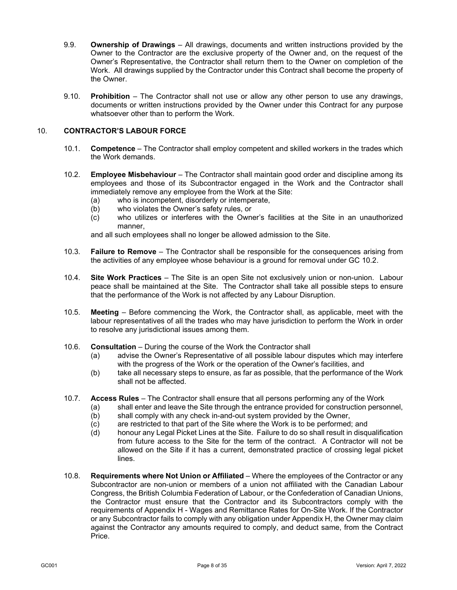- 9.9. **Ownership of Drawings** All drawings, documents and written instructions provided by the Owner to the Contractor are the exclusive property of the Owner and, on the request of the Owner's Representative, the Contractor shall return them to the Owner on completion of the Work. All drawings supplied by the Contractor under this Contract shall become the property of the Owner.
- 9.10. **Prohibition** The Contractor shall not use or allow any other person to use any drawings, documents or written instructions provided by the Owner under this Contract for any purpose whatsoever other than to perform the Work.

## 10. **CONTRACTOR'S LABOUR FORCE**

- 10.1. **Competence** The Contractor shall employ competent and skilled workers in the trades which the Work demands.
- <span id="page-10-0"></span>10.2. **Employee Misbehaviour** – The Contractor shall maintain good order and discipline among its employees and those of its Subcontractor engaged in the Work and the Contractor shall immediately remove any employee from the Work at the Site:
	- (a) who is incompetent, disorderly or intemperate,<br>(b) who violates the Owner's safety rules, or
	- who violates the Owner's safety rules, or
	- $(c)$  who utilizes or interferes with the Owner's facilities at the Site in an unauthorized manner,

and all such employees shall no longer be allowed admission to the Site.

- 10.3. **Failure to Remove** The Contractor shall be responsible for the consequences arising from the activities of any employee whose behaviour is a ground for removal under GC [10.2.](#page-10-0)
- 10.4. **Site Work Practices** The Site is an open Site not exclusively union or non-union. Labour peace shall be maintained at the Site. The Contractor shall take all possible steps to ensure that the performance of the Work is not affected by any Labour Disruption.
- 10.5. **Meeting** Before commencing the Work, the Contractor shall, as applicable, meet with the labour representatives of all the trades who may have jurisdiction to perform the Work in order to resolve any jurisdictional issues among them.
- 10.6. **Consultation** During the course of the Work the Contractor shall
	- (a) advise the Owner's Representative of all possible labour disputes which may interfere with the progress of the Work or the operation of the Owner's facilities, and
	- (b) take all necessary steps to ensure, as far as possible, that the performance of the Work shall not be affected.
- 10.7. **Access Rules** The Contractor shall ensure that all persons performing any of the Work
	- (a) shall enter and leave the Site through the entrance provided for construction personnel,
	- (b) shall comply with any check in-and-out system provided by the Owner,
	- (c) are restricted to that part of the Site where the Work is to be performed; and
	- (d) honour any Legal Picket Lines at the Site. Failure to do so shall result in disqualification from future access to the Site for the term of the contract. A Contractor will not be allowed on the Site if it has a current, demonstrated practice of crossing legal picket lines.
- 10.8. **Requirements where Not Union or Affiliated**  Where the employees of the Contractor or any Subcontractor are non-union or members of a union not affiliated with the Canadian Labour Congress, the British Columbia Federation of Labour, or the Confederation of Canadian Unions, the Contractor must ensure that the Contractor and its Subcontractors comply with the requirements of Appendix H - Wages and Remittance Rates for On-Site Work. If the Contractor or any Subcontractor fails to comply with any obligation under Appendix H, the Owner may claim against the Contractor any amounts required to comply, and deduct same, from the Contract Price.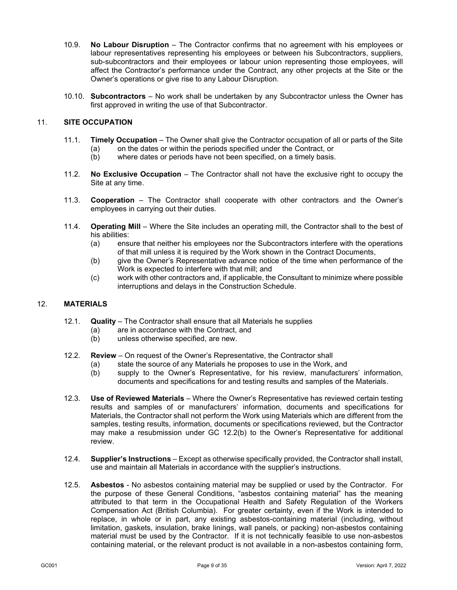- 10.9. **No Labour Disruption** The Contractor confirms that no agreement with his employees or labour representatives representing his employees or between his Subcontractors, suppliers, sub-subcontractors and their employees or labour union representing those employees, will affect the Contractor's performance under the Contract, any other projects at the Site or the Owner's operations or give rise to any Labour Disruption.
- 10.10. **Subcontractors** No work shall be undertaken by any Subcontractor unless the Owner has first approved in writing the use of that Subcontractor.

## 11. **SITE OCCUPATION**

- 11.1. **Timely Occupation** The Owner shall give the Contractor occupation of all or parts of the Site
	- (a) on the dates or within the periods specified under the Contract, or
	- (b) where dates or periods have not been specified, on a timely basis.
- 11.2. **No Exclusive Occupation** The Contractor shall not have the exclusive right to occupy the Site at any time.
- 11.3. **Cooperation** The Contractor shall cooperate with other contractors and the Owner's employees in carrying out their duties.
- 11.4. **Operating Mill** Where the Site includes an operating mill, the Contractor shall to the best of his abilities:
	- (a) ensure that neither his employees nor the Subcontractors interfere with the operations of that mill unless it is required by the Work shown in the Contract Documents,
	- (b) give the Owner's Representative advance notice of the time when performance of the Work is expected to interfere with that mill; and
	- (c) work with other contractors and, if applicable, the Consultant to minimize where possible interruptions and delays in the Construction Schedule.

#### 12. **MATERIALS**

- 12.1. **Quality**  The Contractor shall ensure that all Materials he supplies
	- (a) are in accordance with the Contract, and
	- (b) unless otherwise specified, are new.
- <span id="page-11-0"></span>12.2. **Review** – On request of the Owner's Representative, the Contractor shall
	- (a) state the source of any Materials he proposes to use in the Work, and
	- (b) supply to the Owner's Representative, for his review, manufacturers' information, documents and specifications for and testing results and samples of the Materials.
- <span id="page-11-1"></span>12.3. **Use of Reviewed Materials** – Where the Owner's Representative has reviewed certain testing results and samples of or manufacturers' information, documents and specifications for Materials, the Contractor shall not perform the Work using Materials which are different from the samples, testing results, information, documents or specifications reviewed, but the Contractor may make a resubmission under GC [12.2\(b\)](#page-11-0) to the Owner's Representative for additional review.
- 12.4. **Supplier's Instructions** Except as otherwise specifically provided, the Contractor shall install, use and maintain all Materials in accordance with the supplier's instructions.
- 12.5. **Asbestos** No asbestos containing material may be supplied or used by the Contractor. For the purpose of these General Conditions, "asbestos containing material" has the meaning attributed to that term in the Occupational Health and Safety Regulation of the Workers Compensation Act (British Columbia). For greater certainty, even if the Work is intended to replace, in whole or in part, any existing asbestos-containing material (including, without limitation, gaskets, insulation, brake linings, wall panels, or packing) non-asbestos containing material must be used by the Contractor. If it is not technically feasible to use non-asbestos containing material, or the relevant product is not available in a non-asbestos containing form,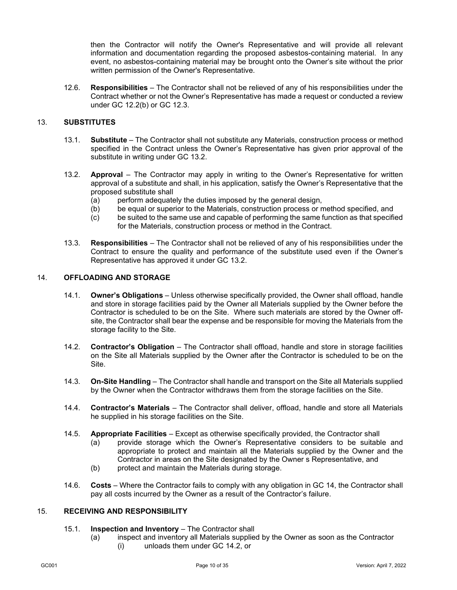then the Contractor will notify the Owner's Representative and will provide all relevant information and documentation regarding the proposed asbestos-containing material. In any event, no asbestos-containing material may be brought onto the Owner's site without the prior written permission of the Owner's Representative.

12.6. **Responsibilities** – The Contractor shall not be relieved of any of his responsibilities under the Contract whether or not the Owner's Representative has made a request or conducted a review under GC [12.2\(b\)](#page-11-0) or GC [12.3.](#page-11-1)

## 13. **SUBSTITUTES**

- 13.1. **Substitute** The Contractor shall not substitute any Materials, construction process or method specified in the Contract unless the Owner's Representative has given prior approval of the substitute in writing under GC [13.2.](#page-12-0)
- <span id="page-12-0"></span>13.2. **Approval** – The Contractor may apply in writing to the Owner's Representative for written approval of a substitute and shall, in his application, satisfy the Owner's Representative that the proposed substitute shall
	- (a) perform adequately the duties imposed by the general design,<br>(b) be equal or superior to the Materials, construction process or n
	- be equal or superior to the Materials, construction process or method specified, and
	- (c) be suited to the same use and capable of performing the same function as that specified for the Materials, construction process or method in the Contract.
- 13.3. **Responsibilities** The Contractor shall not be relieved of any of his responsibilities under the Contract to ensure the quality and performance of the substitute used even if the Owner's Representative has approved it under GC [13.2.](#page-12-0)

#### <span id="page-12-1"></span>14. **OFFLOADING AND STORAGE**

- 14.1. **Owner's Obligations** Unless otherwise specifically provided, the Owner shall offload, handle and store in storage facilities paid by the Owner all Materials supplied by the Owner before the Contractor is scheduled to be on the Site. Where such materials are stored by the Owner offsite, the Contractor shall bear the expense and be responsible for moving the Materials from the storage facility to the Site.
- <span id="page-12-2"></span>14.2. **Contractor's Obligation** – The Contractor shall offload, handle and store in storage facilities on the Site all Materials supplied by the Owner after the Contractor is scheduled to be on the Site.
- <span id="page-12-3"></span>14.3. **On-Site Handling** – The Contractor shall handle and transport on the Site all Materials supplied by the Owner when the Contractor withdraws them from the storage facilities on the Site.
- 14.4. **Contractor's Materials** The Contractor shall deliver, offload, handle and store all Materials he supplied in his storage facilities on the Site.
- 14.5. **Appropriate Facilities**  Except as otherwise specifically provided, the Contractor shall
	- (a) provide storage which the Owner's Representative considers to be suitable and appropriate to protect and maintain all the Materials supplied by the Owner and the Contractor in areas on the Site designated by the Owner s Representative, and
	- (b) protect and maintain the Materials during storage.
- 14.6. **Costs** Where the Contractor fails to comply with any obligation in GC [14,](#page-12-1) the Contractor shall pay all costs incurred by the Owner as a result of the Contractor's failure.

#### <span id="page-12-4"></span>15. **RECEIVING AND RESPONSIBILITY**

#### 15.1. **Inspection and Inventory** – The Contractor shall

(a) inspect and inventory all Materials supplied by the Owner as soon as the Contractor (i) unloads them under GC [14.2,](#page-12-2) or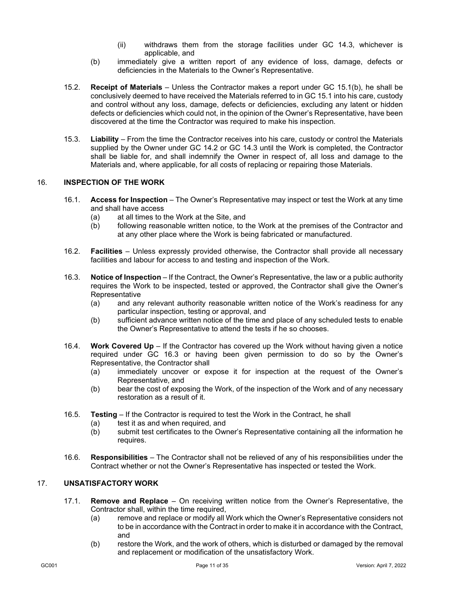- (ii) withdraws them from the storage facilities under GC [14.3,](#page-12-3) whichever is applicable, and
- (b) immediately give a written report of any evidence of loss, damage, defects or deficiencies in the Materials to the Owner's Representative.
- <span id="page-13-0"></span>15.2. **Receipt of Materials** – Unless the Contractor makes a report under GC [15.1\(b\),](#page-13-0) he shall be conclusively deemed to have received the Materials referred to in G[C 15.1](#page-12-4) into his care, custody and control without any loss, damage, defects or deficiencies, excluding any latent or hidden defects or deficiencies which could not, in the opinion of the Owner's Representative, have been discovered at the time the Contractor was required to make his inspection.
- 15.3. **Liability** From the time the Contractor receives into his care, custody or control the Materials supplied by the Owner under GC [14.2](#page-12-2) or GC [14.3](#page-12-3) until the Work is completed, the Contractor shall be liable for, and shall indemnify the Owner in respect of, all loss and damage to the Materials and, where applicable, for all costs of replacing or repairing those Materials.

## 16. **INSPECTION OF THE WORK**

- 16.1. **Access for Inspection**  The Owner's Representative may inspect or test the Work at any time and shall have access
	- (a) at all times to the Work at the Site, and
	- (b) following reasonable written notice, to the Work at the premises of the Contractor and at any other place where the Work is being fabricated or manufactured.
- 16.2. **Facilities**  Unless expressly provided otherwise, the Contractor shall provide all necessary facilities and labour for access to and testing and inspection of the Work.
- <span id="page-13-1"></span>16.3. **Notice of Inspection** – If the Contract, the Owner's Representative, the law or a public authority requires the Work to be inspected, tested or approved, the Contractor shall give the Owner's **Representative** 
	- (a) and any relevant authority reasonable written notice of the Work's readiness for any particular inspection, testing or approval, and
	- (b) sufficient advance written notice of the time and place of any scheduled tests to enable the Owner's Representative to attend the tests if he so chooses.
- 16.4. **Work Covered Up** If the Contractor has covered up the Work without having given a notice required under GC [16.3](#page-13-1) or having been given permission to do so by the Owner's Representative, the Contractor shall
	- (a) immediately uncover or expose it for inspection at the request of the Owner's Representative, and
	- (b) bear the cost of exposing the Work, of the inspection of the Work and of any necessary restoration as a result of it.
- 16.5. **Testing** If the Contractor is required to test the Work in the Contract, he shall
	- (a) test it as and when required, and<br>(b) submit test certificates to the Owr
	- submit test certificates to the Owner's Representative containing all the information he requires.
- 16.6. **Responsibilities** The Contractor shall not be relieved of any of his responsibilities under the Contract whether or not the Owner's Representative has inspected or tested the Work.

## <span id="page-13-2"></span>17. **UNSATISFACTORY WORK**

- 17.1. **Remove and Replace**  On receiving written notice from the Owner's Representative, the Contractor shall, within the time required.
	- (a) remove and replace or modify all Work which the Owner's Representative considers not to be in accordance with the Contract in order to make it in accordance with the Contract, and
	- (b) restore the Work, and the work of others, which is disturbed or damaged by the removal and replacement or modification of the unsatisfactory Work.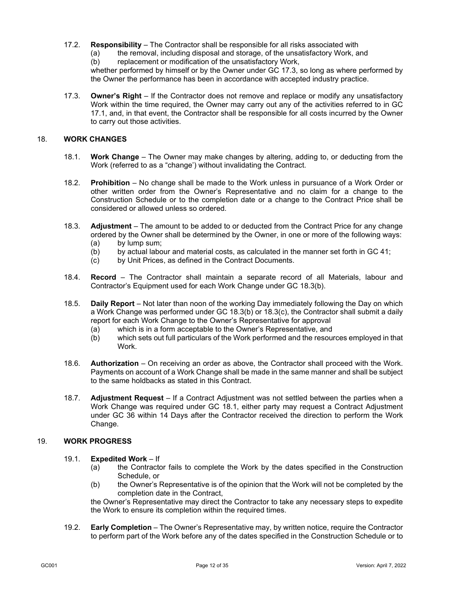- 17.2. **Responsibility**  The Contractor shall be responsible for all risks associated with
	- (a) the removal, including disposal and storage, of the unsatisfactory Work, and

 $(b)$  replacement or modification of the unsatisfactory Work,

whether performed by himself or by the Owner under GC [17.3,](#page-14-1) so long as where performed by the Owner the performance has been in accordance with accepted industry practice.

<span id="page-14-1"></span>17.3. **Owner's Right** – If the Contractor does not remove and replace or modify any unsatisfactory Work within the time required, the Owner may carry out any of the activities referred to in GC [17.1,](#page-13-2) and, in that event, the Contractor shall be responsible for all costs incurred by the Owner to carry out those activities.

## <span id="page-14-6"></span><span id="page-14-0"></span>18. **WORK CHANGES**

- 18.1. **Work Change** The Owner may make changes by altering, adding to, or deducting from the Work (referred to as a "change') without invalidating the Contract.
- 18.2. **Prohibition** No change shall be made to the Work unless in pursuance of a Work Order or other written order from the Owner's Representative and no claim for a change to the Construction Schedule or to the completion date or a change to the Contract Price shall be considered or allowed unless so ordered.
- <span id="page-14-5"></span><span id="page-14-2"></span>18.3. **Adjustment** – The amount to be added to or deducted from the Contract Price for any change ordered by the Owner shall be determined by the Owner, in one or more of the following ways: (a) by lump sum;
	- $(b)$  by actual labour and material costs, as calculated in the manner set forth in GC [41;](#page-29-0)
	- (c) by Unit Prices, as defined in the Contract Documents.
- <span id="page-14-3"></span>18.4. **Record** – The Contractor shall maintain a separate record of all Materials, labour and Contractor's Equipment used for each Work Change under GC [18.3\(b\).](#page-14-2)
- <span id="page-14-7"></span>18.5. **Daily Report** – Not later than noon of the working Day immediately following the Day on which a Work Change was performed under GC [18.3\(b\)](#page-14-2) or [18.3\(c\),](#page-14-3) the Contractor shall submit a daily report for each Work Change to the Owner's Representative for approval
	- (a) which is in a form acceptable to the Owner's Representative, and<br>(b) which sets out full particulars of the Work performed and the resour
	- which sets out full particulars of the Work performed and the resources employed in that Work.
- 18.6. **Authorization** On receiving an order as above, the Contractor shall proceed with the Work. Payments on account of a Work Change shall be made in the same manner and shall be subject to the same holdbacks as stated in this Contract.
- 18.7. **Adjustment Request**  If a Contract Adjustment was not settled between the parties when a Work Change was required under GC [18.1,](#page-14-0) either party may request a Contract Adjustment under GC [36](#page-26-0) within 14 Days after the Contractor received the direction to perform the Work Change.

#### 19. **WORK PROGRESS**

#### 19.1. **Expedited Work** – If

- (a) the Contractor fails to complete the Work by the dates specified in the Construction Schedule, or
- (b) the Owner's Representative is of the opinion that the Work will not be completed by the completion date in the Contract,

the Owner's Representative may direct the Contractor to take any necessary steps to expedite the Work to ensure its completion within the required times.

<span id="page-14-4"></span>19.2. **Early Completion** – The Owner's Representative may, by written notice, require the Contractor to perform part of the Work before any of the dates specified in the Construction Schedule or to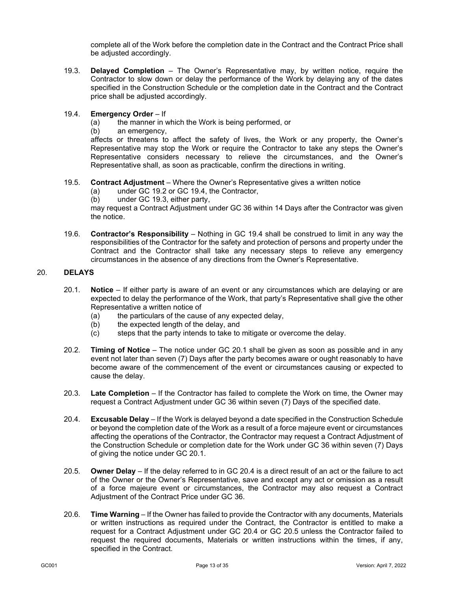complete all of the Work before the completion date in the Contract and the Contract Price shall be adjusted accordingly.

<span id="page-15-1"></span>19.3. **Delayed Completion** – The Owner's Representative may, by written notice, require the Contractor to slow down or delay the performance of the Work by delaying any of the dates specified in the Construction Schedule or the completion date in the Contract and the Contract price shall be adjusted accordingly.

## <span id="page-15-0"></span>19.4. **Emergency Order** – If

- (a) the manner in which the Work is being performed, or
- (b) an emergency,

affects or threatens to affect the safety of lives, the Work or any property, the Owner's Representative may stop the Work or require the Contractor to take any steps the Owner's Representative considers necessary to relieve the circumstances, and the Owner's Representative shall, as soon as practicable, confirm the directions in writing.

- 19.5. **Contract Adjustment** Where the Owner's Representative gives a written notice
	- (a) under GC [19.2](#page-14-4) or GC [19.4,](#page-15-0) the Contractor,
	- (b) under GC [19.3,](#page-15-1) either party,

may request a Contract Adjustment under GC [36](#page-26-0) within 14 Days after the Contractor was given the notice.

19.6. **Contractor's Responsibility** – Nothing in GC [19.4](#page-15-0) shall be construed to limit in any way the responsibilities of the Contractor for the safety and protection of persons and property under the Contract and the Contractor shall take any necessary steps to relieve any emergency circumstances in the absence of any directions from the Owner's Representative.

## <span id="page-15-2"></span>20. **DELAYS**

- 20.1. **Notice** If either party is aware of an event or any circumstances which are delaying or are expected to delay the performance of the Work, that party's Representative shall give the other Representative a written notice of
	- (a) the particulars of the cause of any expected delay,
	- (b) the expected length of the delay, and
	- (c) steps that the party intends to take to mitigate or overcome the delay.
- <span id="page-15-5"></span>20.2. **Timing of Notice** – The notice under GC [20.1](#page-15-2) shall be given as soon as possible and in any event not later than seven (7) Days after the party becomes aware or ought reasonably to have become aware of the commencement of the event or circumstances causing or expected to cause the delay.
- 20.3. **Late Completion** If the Contractor has failed to complete the Work on time, the Owner may request a Contract Adjustment under GC [36](#page-26-0) within seven (7) Days of the specified date.
- <span id="page-15-3"></span>20.4. **Excusable Delay** – If the Work is delayed beyond a date specified in the Construction Schedule or beyond the completion date of the Work as a result of a force majeure event or circumstances affecting the operations of the Contractor, the Contractor may request a Contract Adjustment of the Construction Schedule or completion date for the Work under GC [36](#page-26-0) within seven (7) Days of giving the notice under GC [20.1.](#page-15-2)
- <span id="page-15-4"></span>20.5. **Owner Delay** – If the delay referred to in GC [20.4](#page-15-3) is a direct result of an act or the failure to act of the Owner or the Owner's Representative, save and except any act or omission as a result of a force majeure event or circumstances, the Contractor may also request a Contract Adjustment of the Contract Price under GC [36.](#page-26-0)
- 20.6. **Time Warning** If the Owner has failed to provide the Contractor with any documents, Materials or written instructions as required under the Contract, the Contractor is entitled to make a request for a Contract Adjustment under GC [20.4](#page-15-3) or GC [20.5](#page-15-4) unless the Contractor failed to request the required documents, Materials or written instructions within the times, if any, specified in the Contract.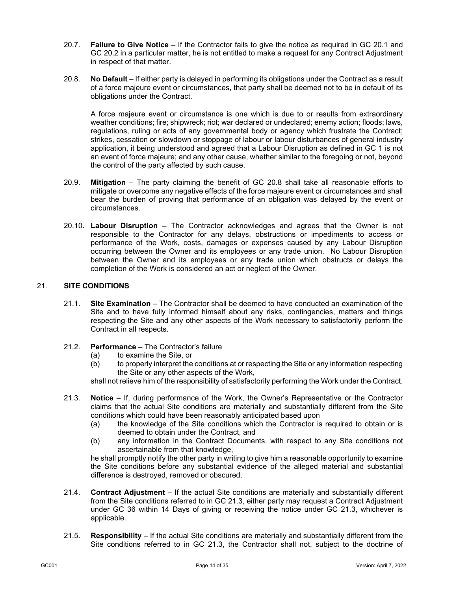- 20.7. **Failure to Give Notice** If the Contractor fails to give the notice as required in GC [20.1](#page-15-2) and GC [20.2](#page-15-5) in a particular matter, he is not entitled to make a request for any Contract Adjustment in respect of that matter.
- <span id="page-16-0"></span>20.8. **No Default** – If either party is delayed in performing its obligations under the Contract as a result of a force majeure event or circumstances, that party shall be deemed not to be in default of its obligations under the Contract.

A force majeure event or circumstance is one which is due to or results from extraordinary weather conditions; fire; shipwreck; riot; war declared or undeclared; enemy action; floods; laws, regulations, ruling or acts of any governmental body or agency which frustrate the Contract; strikes, cessation or slowdown or stoppage of labour or labour disturbances of general industry application, it being understood and agreed that a Labour Disruption as defined in GC [1](#page-3-0) is not an event of force majeure; and any other cause, whether similar to the foregoing or not, beyond the control of the party affected by such cause.

- 20.9. **Mitigation** The party claiming the benefit of GC [20.8](#page-16-0) shall take all reasonable efforts to mitigate or overcome any negative effects of the force majeure event or circumstances and shall bear the burden of proving that performance of an obligation was delayed by the event or circumstances.
- 20.10. **Labour Disruption** The Contractor acknowledges and agrees that the Owner is not responsible to the Contractor for any delays, obstructions or impediments to access or performance of the Work, costs, damages or expenses caused by any Labour Disruption occurring between the Owner and its employees or any trade union. No Labour Disruption between the Owner and its employees or any trade union which obstructs or delays the completion of the Work is considered an act or neglect of the Owner.

## 21. **SITE CONDITIONS**

- 21.1. **Site Examination** The Contractor shall be deemed to have conducted an examination of the Site and to have fully informed himself about any risks, contingencies, matters and things respecting the Site and any other aspects of the Work necessary to satisfactorily perform the Contract in all respects.
- 21.2. **Performance** The Contractor's failure
	- (a) to examine the Site, or<br>(b) to properly interpret the
	- to properly interpret the conditions at or respecting the Site or any information respecting the Site or any other aspects of the Work,

shall not relieve him of the responsibility of satisfactorily performing the Work under the Contract.

- <span id="page-16-1"></span>21.3. **Notice** – If, during performance of the Work, the Owner's Representative or the Contractor claims that the actual Site conditions are materially and substantially different from the Site conditions which could have been reasonably anticipated based upon
	- (a) the knowledge of the Site conditions which the Contractor is required to obtain or is deemed to obtain under the Contract, and
	- (b) any information in the Contract Documents, with respect to any Site conditions not ascertainable from that knowledge,

he shall promptly notify the other party in writing to give him a reasonable opportunity to examine the Site conditions before any substantial evidence of the alleged material and substantial difference is destroyed, removed or obscured.

- 21.4. **Contract Adjustment** If the actual Site conditions are materially and substantially different from the Site conditions referred to in GC [21.3,](#page-16-1) either party may request a Contract Adjustment under GC [36](#page-26-0) within 14 Days of giving or receiving the notice under GC [21.3,](#page-16-1) whichever is applicable.
- 21.5. **Responsibility** If the actual Site conditions are materially and substantially different from the Site conditions referred to in GC [21.3,](#page-16-1) the Contractor shall not, subject to the doctrine of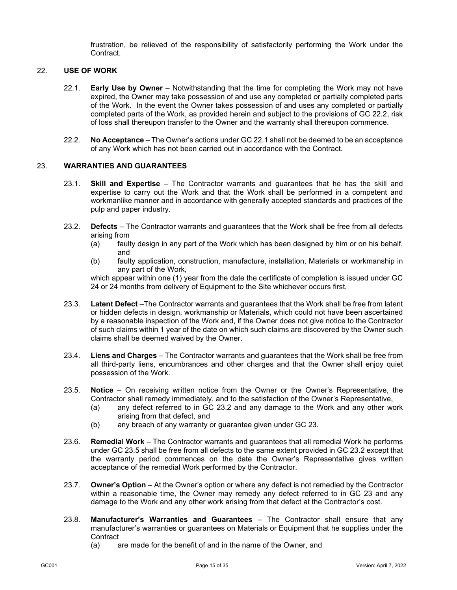frustration, be relieved of the responsibility of satisfactorily performing the Work under the Contract.

## <span id="page-17-1"></span>22. **USE OF WORK**

- 22.1. **Early Use by Owner** Notwithstanding that the time for completing the Work may not have expired, the Owner may take possession of and use any completed or partially completed parts of the Work. In the event the Owner takes possession of and uses any completed or partially completed parts of the Work, as provided herein and subject to the provisions of GC [22.2,](#page-17-0) risk of loss shall thereupon transfer to the Owner and the warranty shall thereupon commence.
- 22.2. **No Acceptance** The Owner's actions under GC [22.1](#page-17-1) shall not be deemed to be an acceptance of any Work which has not been carried out in accordance with the Contract.

## <span id="page-17-3"></span><span id="page-17-0"></span>23. **WARRANTIES AND GUARANTEES**

- 23.1. **Skill and Expertise** The Contractor warrants and guarantees that he has the skill and expertise to carry out the Work and that the Work shall be performed in a competent and workmanlike manner and in accordance with generally accepted standards and practices of the pulp and paper industry.
- <span id="page-17-2"></span>23.2. **Defects** – The Contractor warrants and guarantees that the Work shall be free from all defects arising from
	- (a) faulty design in any part of the Work which has been designed by him or on his behalf, and
	- (b) faulty application, construction, manufacture, installation, Materials or workmanship in any part of the Work,

which appear within one (1) year from the date the certificate of completion is issued under GC [24](#page-18-0) or 24 months from delivery of Equipment to the Site whichever occurs first.

- <span id="page-17-5"></span>23.3. **Latent Defect** –The Contractor warrants and guarantees that the Work shall be free from latent or hidden defects in design, workmanship or Materials, which could not have been ascertained by a reasonable inspection of the Work and, if the Owner does not give notice to the Contractor of such claims within 1 year of the date on which such claims are discovered by the Owner such claims shall be deemed waived by the Owner.
- 23.4. **Liens and Charges** The Contractor warrants and guarantees that the Work shall be free from all third-party liens, encumbrances and other charges and that the Owner shall enjoy quiet possession of the Work.
- <span id="page-17-4"></span>23.5. **Notice** – On receiving written notice from the Owner or the Owner's Representative, the Contractor shall remedy immediately, and to the satisfaction of the Owner's Representative,
	- (a) any defect referred to in GC [23.2](#page-17-2) and any damage to the Work and any other work arising from that defect, and
	- (b) any breach of any warranty or guarantee given under GC [23.](#page-17-3)
- 23.6. **Remedial Work** The Contractor warrants and guarantees that all remedial Work he performs under GC [23.5](#page-17-4) shall be free from all defects to the same extent provided in GC [23.2](#page-17-2) except that the warranty period commences on the date the Owner's Representative gives written acceptance of the remedial Work performed by the Contractor.
- 23.7. **Owner's Option** At the Owner's option or where any defect is not remedied by the Contractor within a reasonable time, the Owner may remedy any defect referred to in GC [23](#page-17-3) and any damage to the Work and any other work arising from that defect at the Contractor's cost.
- 23.8. **Manufacturer's Warranties and Guarantees** The Contractor shall ensure that any manufacturer's warranties or guarantees on Materials or Equipment that he supplies under the **Contract** 
	- (a) are made for the benefit of and in the name of the Owner, and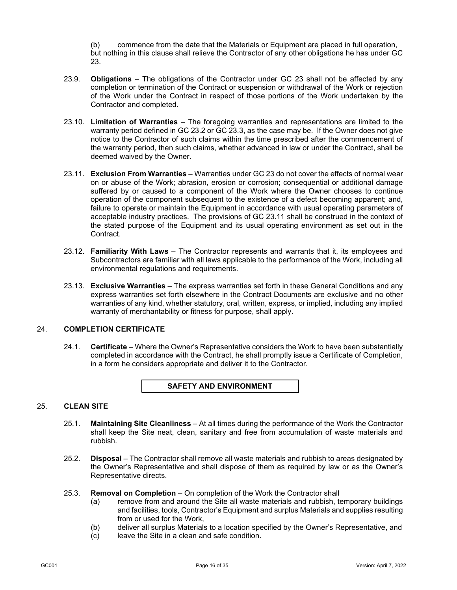(b) commence from the date that the Materials or Equipment are placed in full operation, but nothing in this clause shall relieve the Contractor of any other obligations he has under GC [23.](#page-17-3)

- 23.9. **Obligations**  The obligations of the Contractor under GC [23](#page-17-3) shall not be affected by any completion or termination of the Contract or suspension or withdrawal of the Work or rejection of the Work under the Contract in respect of those portions of the Work undertaken by the Contractor and completed.
- 23.10. **Limitation of Warranties** The foregoing warranties and representations are limited to the warranty period defined in G[C 23.2](#page-17-2) or G[C 23.3,](#page-17-5) as the case may be. If the Owner does not give notice to the Contractor of such claims within the time prescribed after the commencement of the warranty period, then such claims, whether advanced in law or under the Contract, shall be deemed waived by the Owner.
- <span id="page-18-1"></span>23.11. **Exclusion From Warranties** – Warranties under G[C 23](#page-17-3) do not cover the effects of normal wear on or abuse of the Work; abrasion, erosion or corrosion; consequential or additional damage suffered by or caused to a component of the Work where the Owner chooses to continue operation of the component subsequent to the existence of a defect becoming apparent; and, failure to operate or maintain the Equipment in accordance with usual operating parameters of acceptable industry practices. The provisions of GC [23.11](#page-18-1) shall be construed in the context of the stated purpose of the Equipment and its usual operating environment as set out in the Contract.
- 23.12. **Familiarity With Laws** The Contractor represents and warrants that it, its employees and Subcontractors are familiar with all laws applicable to the performance of the Work, including all environmental regulations and requirements.
- 23.13. **Exclusive Warranties** The express warranties set forth in these General Conditions and any express warranties set forth elsewhere in the Contract Documents are exclusive and no other warranties of any kind, whether statutory, oral, written, express, or implied, including any implied warranty of merchantability or fitness for purpose, shall apply.

## <span id="page-18-0"></span>24. **COMPLETION CERTIFICATE**

24.1. **Certificate** – Where the Owner's Representative considers the Work to have been substantially completed in accordance with the Contract, he shall promptly issue a Certificate of Completion, in a form he considers appropriate and deliver it to the Contractor.

#### **SAFETY AND ENVIRONMENT**

## <span id="page-18-2"></span>25. **CLEAN SITE**

- 25.1. **Maintaining Site Cleanliness** At all times during the performance of the Work the Contractor shall keep the Site neat, clean, sanitary and free from accumulation of waste materials and rubbish.
- 25.2. **Disposal**  The Contractor shall remove all waste materials and rubbish to areas designated by the Owner's Representative and shall dispose of them as required by law or as the Owner's Representative directs.
- <span id="page-18-3"></span>25.3. **Removal on Completion** – On completion of the Work the Contractor shall
	- (a) remove from and around the Site all waste materials and rubbish, temporary buildings and facilities, tools, Contractor's Equipment and surplus Materials and supplies resulting from or used for the Work,
	- (b) deliver all surplus Materials to a location specified by the Owner's Representative, and
	- (c) leave the Site in a clean and safe condition.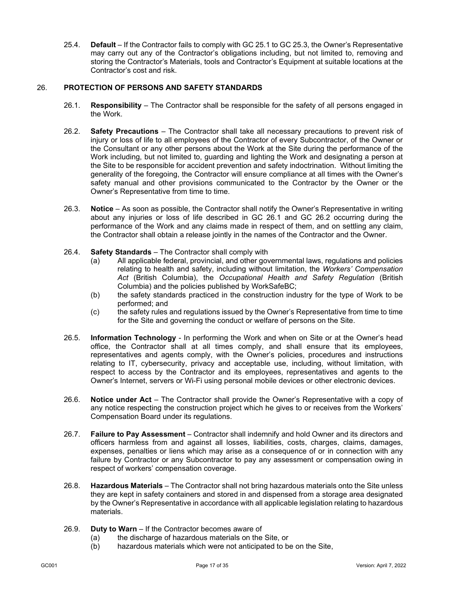25.4. **Default** – If the Contractor fails to comply with GC [25.1](#page-18-2) to GC [25.3,](#page-18-3) the Owner's Representative may carry out any of the Contractor's obligations including, but not limited to, removing and storing the Contractor's Materials, tools and Contractor's Equipment at suitable locations at the Contractor's cost and risk.

## <span id="page-19-0"></span>26. **PROTECTION OF PERSONS AND SAFETY STANDARDS**

- 26.1. **Responsibility** The Contractor shall be responsible for the safety of all persons engaged in the Work.
- <span id="page-19-1"></span>26.2. **Safety Precautions** – The Contractor shall take all necessary precautions to prevent risk of injury or loss of life to all employees of the Contractor of every Subcontractor, of the Owner or the Consultant or any other persons about the Work at the Site during the performance of the Work including, but not limited to, guarding and lighting the Work and designating a person at the Site to be responsible for accident prevention and safety indoctrination. Without limiting the generality of the foregoing, the Contractor will ensure compliance at all times with the Owner's safety manual and other provisions communicated to the Contractor by the Owner or the Owner's Representative from time to time.
- 26.3. **Notice** As soon as possible, the Contractor shall notify the Owner's Representative in writing about any injuries or loss of life described in GC [26.1](#page-19-0) and GC [26.2](#page-19-1) occurring during the performance of the Work and any claims made in respect of them, and on settling any claim, the Contractor shall obtain a release jointly in the names of the Contractor and the Owner.
- 26.4. **Safety Standards** The Contractor shall comply with
	- (a) All applicable federal, provincial, and other governmental laws, regulations and policies relating to health and safety, including without limitation, the *Workers' Compensation Act* (British Columbia), the *Occupational Health and Safety Regulation* (British Columbia) and the policies published by WorkSafeBC;
	- (b) the safety standards practiced in the construction industry for the type of Work to be performed; and
	- (c) the safety rules and regulations issued by the Owner's Representative from time to time for the Site and governing the conduct or welfare of persons on the Site.
- 26.5. **Information Technology** In performing the Work and when on Site or at the Owner's head office, the Contractor shall at all times comply, and shall ensure that its employees, representatives and agents comply, with the Owner's policies, procedures and instructions relating to IT, cybersecurity, privacy and acceptable use, including, without limitation, with respect to access by the Contractor and its employees, representatives and agents to the Owner's Internet, servers or Wi-Fi using personal mobile devices or other electronic devices.
- 26.6. **Notice under Act**  The Contractor shall provide the Owner's Representative with a copy of any notice respecting the construction project which he gives to or receives from the Workers' Compensation Board under its regulations.
- 26.7. **Failure to Pay Assessment** Contractor shall indemnify and hold Owner and its directors and officers harmless from and against all losses, liabilities, costs, charges, claims, damages, expenses, penalties or liens which may arise as a consequence of or in connection with any failure by Contractor or any Subcontractor to pay any assessment or compensation owing in respect of workers' compensation coverage.
- 26.8. **Hazardous Materials** The Contractor shall not bring hazardous materials onto the Site unless they are kept in safety containers and stored in and dispensed from a storage area designated by the Owner's Representative in accordance with all applicable legislation relating to hazardous materials.
- 26.9. **Duty to Warn**  If the Contractor becomes aware of
	- (a) the discharge of hazardous materials on the Site, or
		- (b) hazardous materials which were not anticipated to be on the Site,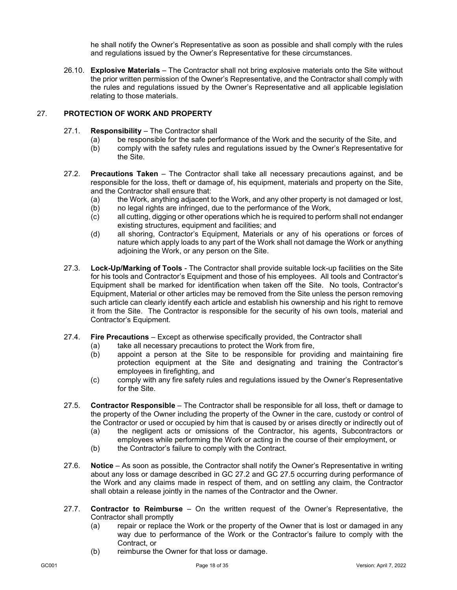he shall notify the Owner's Representative as soon as possible and shall comply with the rules and regulations issued by the Owner's Representative for these circumstances.

26.10. **Explosive Materials** – The Contractor shall not bring explosive materials onto the Site without the prior written permission of the Owner's Representative, and the Contractor shall comply with the rules and regulations issued by the Owner's Representative and all applicable legislation relating to those materials.

## 27. **PROTECTION OF WORK AND PROPERTY**

- 27.1. **Responsibility**  The Contractor shall
	- (a) be responsible for the safe performance of the Work and the security of the Site, and
	- (b) comply with the safety rules and regulations issued by the Owner's Representative for the Site.
- <span id="page-20-0"></span>27.2. **Precautions Taken** – The Contractor shall take all necessary precautions against, and be responsible for the loss, theft or damage of, his equipment, materials and property on the Site, and the Contractor shall ensure that:
	- (a) the Work, anything adjacent to the Work, and any other property is not damaged or lost,
	- (b) no legal rights are infringed, due to the performance of the Work,
	- (c) all cutting, digging or other operations which he is required to perform shall not endanger existing structures, equipment and facilities; and
	- (d) all shoring, Contractor's Equipment, Materials or any of his operations or forces of nature which apply loads to any part of the Work shall not damage the Work or anything adjoining the Work, or any person on the Site.
- 27.3. **Lock-Up/Marking of Tools**  The Contractor shall provide suitable lock-up facilities on the Site for his tools and Contractor's Equipment and those of his employees. All tools and Contractor's Equipment shall be marked for identification when taken off the Site. No tools, Contractor's Equipment, Material or other articles may be removed from the Site unless the person removing such article can clearly identify each article and establish his ownership and his right to remove it from the Site. The Contractor is responsible for the security of his own tools, material and Contractor's Equipment.
- 27.4. **Fire Precautions** Except as otherwise specifically provided, the Contractor shall
	- (a) take all necessary precautions to protect the Work from fire,
	- (b) appoint a person at the Site to be responsible for providing and maintaining fire protection equipment at the Site and designating and training the Contractor's employees in firefighting, and
	- (c) comply with any fire safety rules and regulations issued by the Owner's Representative for the Site.
- <span id="page-20-1"></span>27.5. **Contractor Responsible** – The Contractor shall be responsible for all loss, theft or damage to the property of the Owner including the property of the Owner in the care, custody or control of the Contractor or used or occupied by him that is caused by or arises directly or indirectly out of
	- (a) the negligent acts or omissions of the Contractor, his agents, Subcontractors or employees while performing the Work or acting in the course of their employment, or
	- (b) the Contractor's failure to comply with the Contract.
- 27.6. **Notice** As soon as possible, the Contractor shall notify the Owner's Representative in writing about any loss or damage described in GC [27.2](#page-20-0) and GC [27.5](#page-20-1) occurring during performance of the Work and any claims made in respect of them, and on settling any claim, the Contractor shall obtain a release jointly in the names of the Contractor and the Owner.
- 27.7. **Contractor to Reimburse** On the written request of the Owner's Representative, the Contractor shall promptly
	- (a) repair or replace the Work or the property of the Owner that is lost or damaged in any way due to performance of the Work or the Contractor's failure to comply with the Contract, or
	- (b) reimburse the Owner for that loss or damage.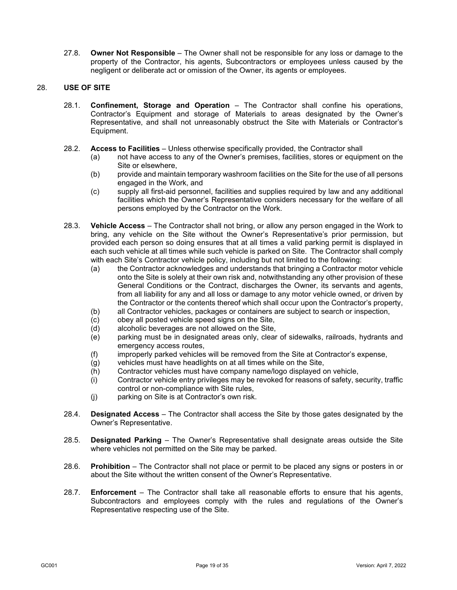27.8. **Owner Not Responsible** – The Owner shall not be responsible for any loss or damage to the property of the Contractor, his agents, Subcontractors or employees unless caused by the negligent or deliberate act or omission of the Owner, its agents or employees.

## 28. **USE OF SITE**

- 28.1. **Confinement, Storage and Operation** The Contractor shall confine his operations, Contractor's Equipment and storage of Materials to areas designated by the Owner's Representative, and shall not unreasonably obstruct the Site with Materials or Contractor's Equipment.
- 28.2. **Access to Facilities** Unless otherwise specifically provided, the Contractor shall
	- (a) not have access to any of the Owner's premises, facilities, stores or equipment on the Site or elsewhere,
	- (b) provide and maintain temporary washroom facilities on the Site for the use of all persons engaged in the Work, and
	- (c) supply all first-aid personnel, facilities and supplies required by law and any additional facilities which the Owner's Representative considers necessary for the welfare of all persons employed by the Contractor on the Work.
- 28.3. **Vehicle Access** The Contractor shall not bring, or allow any person engaged in the Work to bring, any vehicle on the Site without the Owner's Representative's prior permission, but provided each person so doing ensures that at all times a valid parking permit is displayed in each such vehicle at all times while such vehicle is parked on Site. The Contractor shall comply with each Site's Contractor vehicle policy, including but not limited to the following:
	- (a) the Contractor acknowledges and understands that bringing a Contractor motor vehicle onto the Site is solely at their own risk and, notwithstanding any other provision of these General Conditions or the Contract, discharges the Owner, its servants and agents, from all liability for any and all loss or damage to any motor vehicle owned, or driven by the Contractor or the contents thereof which shall occur upon the Contractor's property,
	- (b) all Contractor vehicles, packages or containers are subject to search or inspection,
	- (c) obey all posted vehicle speed signs on the Site,
	- (d) alcoholic beverages are not allowed on the Site,
	- (e) parking must be in designated areas only, clear of sidewalks, railroads, hydrants and emergency access routes,
	- (f) improperly parked vehicles will be removed from the Site at Contractor's expense,
	- (g) vehicles must have headlights on at all times while on the Site,
	- (h) Contractor vehicles must have company name/logo displayed on vehicle,
	- (i) Contractor vehicle entry privileges may be revoked for reasons of safety, security, traffic control or non-compliance with Site rules,
	- (j) parking on Site is at Contractor's own risk.
- 28.4. **Designated Access** The Contractor shall access the Site by those gates designated by the Owner's Representative.
- 28.5. **Designated Parking** The Owner's Representative shall designate areas outside the Site where vehicles not permitted on the Site may be parked.
- 28.6. **Prohibition**  The Contractor shall not place or permit to be placed any signs or posters in or about the Site without the written consent of the Owner's Representative.
- 28.7. **Enforcement** The Contractor shall take all reasonable efforts to ensure that his agents, Subcontractors and employees comply with the rules and regulations of the Owner's Representative respecting use of the Site.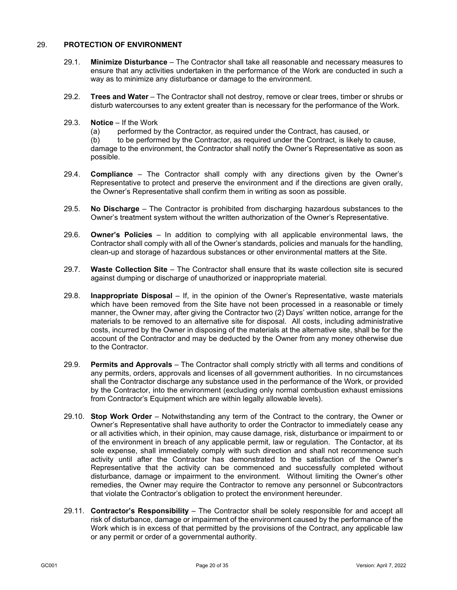#### 29. **PROTECTION OF ENVIRONMENT**

- 29.1. **Minimize Disturbance** The Contractor shall take all reasonable and necessary measures to ensure that any activities undertaken in the performance of the Work are conducted in such a way as to minimize any disturbance or damage to the environment.
- 29.2. **Trees and Water** The Contractor shall not destroy, remove or clear trees, timber or shrubs or disturb watercourses to any extent greater than is necessary for the performance of the Work.
- 29.3. **Notice** If the Work
	- (a) performed by the Contractor, as required under the Contract, has caused, or

(b) to be performed by the Contractor, as required under the Contract, is likely to cause, damage to the environment, the Contractor shall notify the Owner's Representative as soon as possible.

- 29.4. **Compliance** The Contractor shall comply with any directions given by the Owner's Representative to protect and preserve the environment and if the directions are given orally, the Owner's Representative shall confirm them in writing as soon as possible.
- 29.5. **No Discharge** The Contractor is prohibited from discharging hazardous substances to the Owner's treatment system without the written authorization of the Owner's Representative.
- 29.6. **Owner's Policies** In addition to complying with all applicable environmental laws, the Contractor shall comply with all of the Owner's standards, policies and manuals for the handling, clean-up and storage of hazardous substances or other environmental matters at the Site.
- 29.7. **Waste Collection Site** The Contractor shall ensure that its waste collection site is secured against dumping or discharge of unauthorized or inappropriate material.
- 29.8. **Inappropriate Disposal** If, in the opinion of the Owner's Representative, waste materials which have been removed from the Site have not been processed in a reasonable or timely manner, the Owner may, after giving the Contractor two (2) Days' written notice, arrange for the materials to be removed to an alternative site for disposal. All costs, including administrative costs, incurred by the Owner in disposing of the materials at the alternative site, shall be for the account of the Contractor and may be deducted by the Owner from any money otherwise due to the Contractor.
- 29.9. **Permits and Approvals** The Contractor shall comply strictly with all terms and conditions of any permits, orders, approvals and licenses of all government authorities. In no circumstances shall the Contractor discharge any substance used in the performance of the Work, or provided by the Contractor, into the environment (excluding only normal combustion exhaust emissions from Contractor's Equipment which are within legally allowable levels).
- 29.10. **Stop Work Order** Notwithstanding any term of the Contract to the contrary, the Owner or Owner's Representative shall have authority to order the Contractor to immediately cease any or all activities which, in their opinion, may cause damage, risk, disturbance or impairment to or of the environment in breach of any applicable permit, law or regulation. The Contactor, at its sole expense, shall immediately comply with such direction and shall not recommence such activity until after the Contractor has demonstrated to the satisfaction of the Owner's Representative that the activity can be commenced and successfully completed without disturbance, damage or impairment to the environment. Without limiting the Owner's other remedies, the Owner may require the Contractor to remove any personnel or Subcontractors that violate the Contractor's obligation to protect the environment hereunder.
- 29.11. **Contractor's Responsibility** The Contractor shall be solely responsible for and accept all risk of disturbance, damage or impairment of the environment caused by the performance of the Work which is in excess of that permitted by the provisions of the Contract, any applicable law or any permit or order of a governmental authority.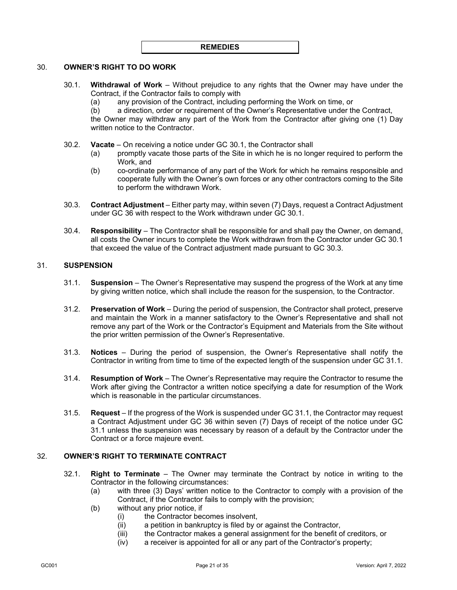#### **REMEDIES**

## <span id="page-23-0"></span>30. **OWNER'S RIGHT TO DO WORK**

- 30.1. **Withdrawal of Work** Without prejudice to any rights that the Owner may have under the Contract, if the Contractor fails to comply with
	- (a) any provision of the Contract, including performing the Work on time, or (b) a direction, order or requirement of the Owner's Representative under the
	- a direction, order or requirement of the Owner's Representative under the Contract,

the Owner may withdraw any part of the Work from the Contractor after giving one (1) Day written notice to the Contractor.

- 30.2. **Vacate** On receiving a notice under GC [30.1,](#page-23-0) the Contractor shall
	- (a) promptly vacate those parts of the Site in which he is no longer required to perform the Work, and
	- (b) co-ordinate performance of any part of the Work for which he remains responsible and cooperate fully with the Owner's own forces or any other contractors coming to the Site to perform the withdrawn Work.
- <span id="page-23-1"></span>30.3. **Contract Adjustment** – Either party may, within seven (7) Days, request a Contract Adjustment under GC [36](#page-26-0) with respect to the Work withdrawn under GC [30.1.](#page-23-0)
- 30.4. **Responsibility** The Contractor shall be responsible for and shall pay the Owner, on demand, all costs the Owner incurs to complete the Work withdrawn from the Contractor under GC [30.1](#page-23-0) that exceed the value of the Contract adjustment made pursuant to GC [30.3.](#page-23-1)

## <span id="page-23-2"></span>31. **SUSPENSION**

- 31.1. **Suspension** The Owner's Representative may suspend the progress of the Work at any time by giving written notice, which shall include the reason for the suspension, to the Contractor.
- 31.2. **Preservation of Work** During the period of suspension, the Contractor shall protect, preserve and maintain the Work in a manner satisfactory to the Owner's Representative and shall not remove any part of the Work or the Contractor's Equipment and Materials from the Site without the prior written permission of the Owner's Representative.
- 31.3. **Notices** During the period of suspension, the Owner's Representative shall notify the Contractor in writing from time to time of the expected length of the suspension under GC [31.1.](#page-23-2)
- 31.4. **Resumption of Work** The Owner's Representative may require the Contractor to resume the Work after giving the Contractor a written notice specifying a date for resumption of the Work which is reasonable in the particular circumstances.
- 31.5. **Request** If the progress of the Work is suspended under G[C 31.1,](#page-23-2) the Contractor may request a Contract Adjustment under GC [36](#page-26-0) within seven (7) Days of receipt of the notice under GC [31.1](#page-23-2) unless the suspension was necessary by reason of a default by the Contractor under the Contract or a force majeure event.

#### <span id="page-23-4"></span><span id="page-23-3"></span>32. **OWNER'S RIGHT TO TERMINATE CONTRACT**

- 32.1. **Right to Terminate** The Owner may terminate the Contract by notice in writing to the Contractor in the following circumstances:
	- (a) with three (3) Days' written notice to the Contractor to comply with a provision of the Contract, if the Contractor fails to comply with the provision;
	- (b) without any prior notice, if
		- (i) the Contractor becomes insolvent,
		- (ii) a petition in bankruptcy is filed by or against the Contractor,
		- (iii) the Contractor makes a general assignment for the benefit of creditors, or
		- (iv) a receiver is appointed for all or any part of the Contractor's property;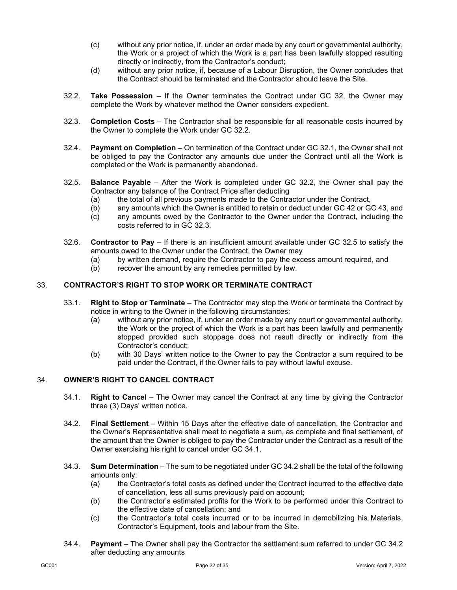- (c) without any prior notice, if, under an order made by any court or governmental authority, the Work or a project of which the Work is a part has been lawfully stopped resulting directly or indirectly, from the Contractor's conduct;
- (d) without any prior notice, if, because of a Labour Disruption, the Owner concludes that the Contract should be terminated and the Contractor should leave the Site.
- <span id="page-24-0"></span>32.2. **Take Possession** – If the Owner terminates the Contract under GC [32,](#page-23-3) the Owner may complete the Work by whatever method the Owner considers expedient.
- <span id="page-24-1"></span>32.3. **Completion Costs** – The Contractor shall be responsible for all reasonable costs incurred by the Owner to complete the Work under GC [32.2.](#page-24-0)
- 32.4. **Payment on Completion** On termination of the Contract under GC [32.1,](#page-23-4) the Owner shall not be obliged to pay the Contractor any amounts due under the Contract until all the Work is completed or the Work is permanently abandoned.
- <span id="page-24-2"></span>32.5. **Balance Payable** – After the Work is completed under GC [32.2,](#page-24-0) the Owner shall pay the Contractor any balance of the Contract Price after deducting
	- (a) the total of all previous payments made to the Contractor under the Contract,
	- (b) any amounts which the Owner is entitled to retain or deduct under G[C 42](#page-30-0) or GC [43,](#page-31-0) and
	- (c) any amounts owed by the Contractor to the Owner under the Contract, including the costs referred to in GC [32.3.](#page-24-1)
- 32.6. **Contractor to Pay** If there is an insufficient amount available under GC [32.5](#page-24-2) to satisfy the amounts owed to the Owner under the Contract, the Owner may
	- (a) by written demand, require the Contractor to pay the excess amount required, and
	- (b) recover the amount by any remedies permitted by law.

## 33. **CONTRACTOR'S RIGHT TO STOP WORK OR TERMINATE CONTRACT**

- 33.1. **Right to Stop or Terminate** The Contractor may stop the Work or terminate the Contract by notice in writing to the Owner in the following circumstances:
	- (a) without any prior notice, if, under an order made by any court or governmental authority, the Work or the project of which the Work is a part has been lawfully and permanently stopped provided such stoppage does not result directly or indirectly from the Contractor's conduct;
	- (b) with 30 Days' written notice to the Owner to pay the Contractor a sum required to be paid under the Contract, if the Owner fails to pay without lawful excuse.

#### <span id="page-24-3"></span>34. **OWNER'S RIGHT TO CANCEL CONTRACT**

- 34.1. **Right to Cancel** The Owner may cancel the Contract at any time by giving the Contractor three (3) Days' written notice.
- <span id="page-24-4"></span>34.2. **Final Settlement** – Within 15 Days after the effective date of cancellation, the Contractor and the Owner's Representative shall meet to negotiate a sum, as complete and final settlement, of the amount that the Owner is obliged to pay the Contractor under the Contract as a result of the Owner exercising his right to cancel under GC [34.1.](#page-24-3)
- 34.3. **Sum Determination** The sum to be negotiated under G[C 34.2](#page-24-4) shall be the total of the following amounts only:
	- (a) the Contractor's total costs as defined under the Contract incurred to the effective date of cancellation, less all sums previously paid on account;
	- (b) the Contractor's estimated profits for the Work to be performed under this Contract to the effective date of cancellation; and
	- (c) the Contractor's total costs incurred or to be incurred in demobilizing his Materials, Contractor's Equipment, tools and labour from the Site.
- <span id="page-24-5"></span>34.4. **Payment** – The Owner shall pay the Contractor the settlement sum referred to under GC [34.2](#page-24-4) after deducting any amounts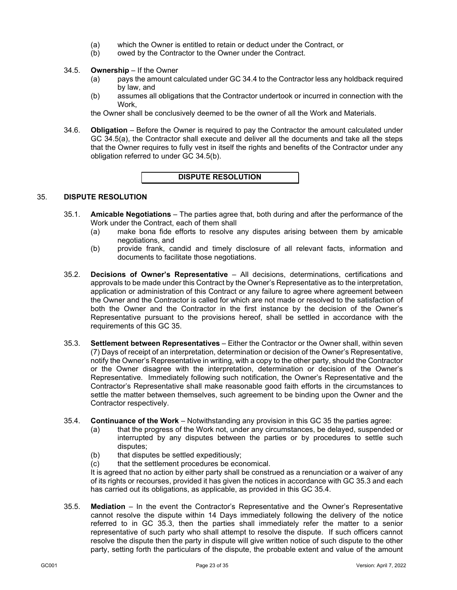- (a) which the Owner is entitled to retain or deduct under the Contract, or
- (b) owed by the Contractor to the Owner under the Contract.

## <span id="page-25-2"></span><span id="page-25-1"></span>34.5. **Ownership** – If the Owner

- (a) pays the amount calculated under GC [34.4](#page-24-5) to the Contractor less any holdback required by law, and
- (b) assumes all obligations that the Contractor undertook or incurred in connection with the Work,

the Owner shall be conclusively deemed to be the owner of all the Work and Materials.

34.6. **Obligation** – Before the Owner is required to pay the Contractor the amount calculated under GC [34.5\(a\),](#page-25-1) the Contractor shall execute and deliver all the documents and take all the steps that the Owner requires to fully vest in itself the rights and benefits of the Contractor under any obligation referred to under GC [34.5\(b\).](#page-25-2)

## **DISPUTE RESOLUTION**

## <span id="page-25-0"></span>35. **DISPUTE RESOLUTION**

- 35.1. **Amicable Negotiations** The parties agree that, both during and after the performance of the Work under the Contract, each of them shall
	- (a) make bona fide efforts to resolve any disputes arising between them by amicable negotiations, and
	- (b) provide frank, candid and timely disclosure of all relevant facts, information and documents to facilitate those negotiations.
- 35.2. **Decisions of Owner's Representative** All decisions, determinations, certifications and approvals to be made under this Contract by the Owner's Representative as to the interpretation, application or administration of this Contract or any failure to agree where agreement between the Owner and the Contractor is called for which are not made or resolved to the satisfaction of both the Owner and the Contractor in the first instance by the decision of the Owner's Representative pursuant to the provisions hereof, shall be settled in accordance with the requirements of this GC [35.](#page-25-0)
- <span id="page-25-3"></span>35.3. **Settlement between Representatives** – Either the Contractor or the Owner shall, within seven (7) Days of receipt of an interpretation, determination or decision of the Owner's Representative, notify the Owner's Representative in writing, with a copy to the other party, should the Contractor or the Owner disagree with the interpretation, determination or decision of the Owner's Representative. Immediately following such notification, the Owner's Representative and the Contractor's Representative shall make reasonable good faith efforts in the circumstances to settle the matter between themselves, such agreement to be binding upon the Owner and the Contractor respectively.
- <span id="page-25-4"></span>35.4. **Continuance of the Work** – Notwithstanding any provision in this GC [35](#page-25-0) the parties agree:
	- (a) that the progress of the Work not, under any circumstances, be delayed, suspended or interrupted by any disputes between the parties or by procedures to settle such disputes;
	- (b) that disputes be settled expeditiously;
	- (c) that the settlement procedures be economical.

It is agreed that no action by either party shall be construed as a renunciation or a waiver of any of its rights or recourses, provided it has given the notices in accordance with GC [35.3](#page-25-3) and each has carried out its obligations, as applicable, as provided in this GC [35.4.](#page-25-4)

<span id="page-25-5"></span>35.5. **Mediation** – In the event the Contractor's Representative and the Owner's Representative cannot resolve the dispute within 14 Days immediately following the delivery of the notice referred to in GC [35.3,](#page-25-3) then the parties shall immediately refer the matter to a senior representative of such party who shall attempt to resolve the dispute. If such officers cannot resolve the dispute then the party in dispute will give written notice of such dispute to the other party, setting forth the particulars of the dispute, the probable extent and value of the amount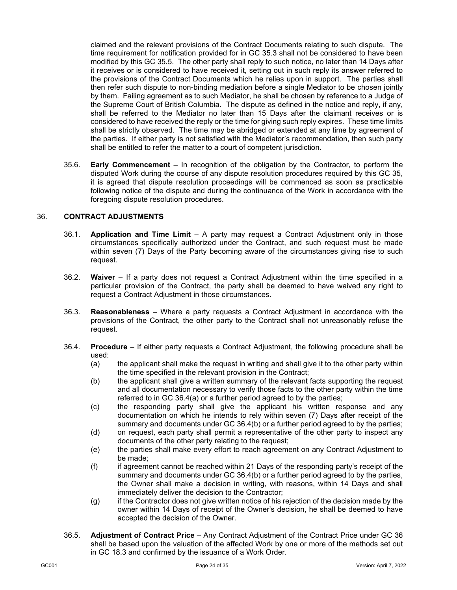claimed and the relevant provisions of the Contract Documents relating to such dispute. The time requirement for notification provided for in GC [35.3](#page-25-3) shall not be considered to have been modified by this GC [35.5.](#page-25-5) The other party shall reply to such notice, no later than 14 Days after it receives or is considered to have received it, setting out in such reply its answer referred to the provisions of the Contract Documents which he relies upon in support. The parties shall then refer such dispute to non-binding mediation before a single Mediator to be chosen jointly by them. Failing agreement as to such Mediator, he shall be chosen by reference to a Judge of the Supreme Court of British Columbia. The dispute as defined in the notice and reply, if any, shall be referred to the Mediator no later than 15 Days after the claimant receives or is considered to have received the reply or the time for giving such reply expires. These time limits shall be strictly observed. The time may be abridged or extended at any time by agreement of the parties. If either party is not satisfied with the Mediator's recommendation, then such party shall be entitled to refer the matter to a court of competent jurisdiction.

35.6. **Early Commencement** – In recognition of the obligation by the Contractor, to perform the disputed Work during the course of any dispute resolution procedures required by this GC [35,](#page-25-0) it is agreed that dispute resolution proceedings will be commenced as soon as practicable following notice of the dispute and during the continuance of the Work in accordance with the foregoing dispute resolution procedures.

## <span id="page-26-0"></span>36. **CONTRACT ADJUSTMENTS**

- 36.1. **Application and Time Limit** A party may request a Contract Adjustment only in those circumstances specifically authorized under the Contract, and such request must be made within seven (7) Days of the Party becoming aware of the circumstances giving rise to such request.
- 36.2. **Waiver** If a party does not request a Contract Adjustment within the time specified in a particular provision of the Contract, the party shall be deemed to have waived any right to request a Contract Adjustment in those circumstances.
- 36.3. **Reasonableness** Where a party requests a Contract Adjustment in accordance with the provisions of the Contract, the other party to the Contract shall not unreasonably refuse the request.
- <span id="page-26-1"></span>36.4. **Procedure** – If either party requests a Contract Adjustment, the following procedure shall be used:
	- (a) the applicant shall make the request in writing and shall give it to the other party within the time specified in the relevant provision in the Contract;
	- (b) the applicant shall give a written summary of the relevant facts supporting the request and all documentation necessary to verify those facts to the other party within the time referred to in GC [36.4\(](#page-26-1)a) or a further period agreed to by the parties;
	- (c) the responding party shall give the applicant his written response and any documentation on which he intends to rely within seven (7) Days after receipt of the summary and documents under GC [36.4\(](#page-26-1)b) or a further period agreed to by the parties;
	- (d) on request, each party shall permit a representative of the other party to inspect any documents of the other party relating to the request;
	- (e) the parties shall make every effort to reach agreement on any Contract Adjustment to be made;
	- (f) if agreement cannot be reached within 21 Days of the responding party's receipt of the summary and documents under GC [36.4\(](#page-26-1)b) or a further period agreed to by the parties, the Owner shall make a decision in writing, with reasons, within 14 Days and shall immediately deliver the decision to the Contractor;
	- (g) if the Contractor does not give written notice of his rejection of the decision made by the owner within 14 Days of receipt of the Owner's decision, he shall be deemed to have accepted the decision of the Owner.
- 36.5. **Adjustment of Contract Price** Any Contract Adjustment of the Contract Price under GC [36](#page-26-0) shall be based upon the valuation of the affected Work by one or more of the methods set out in GC [18.3](#page-14-5) and confirmed by the issuance of a Work Order.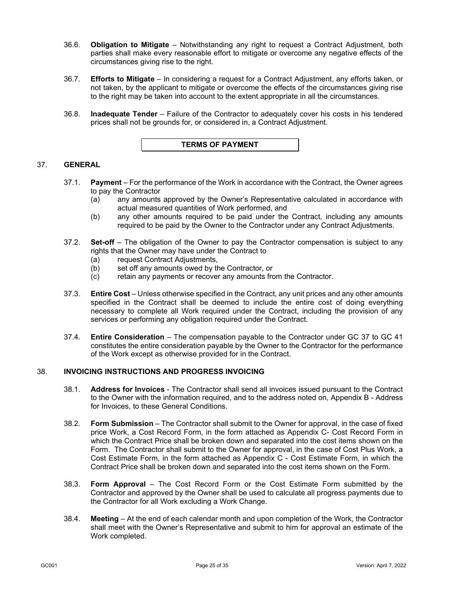- 36.6. **Obligation to Mitigate** Notwithstanding any right to request a Contract Adjustment, both parties shall make every reasonable effort to mitigate or overcome any negative effects of the circumstances giving rise to the right.
- 36.7. **Efforts to Mitigate** In considering a request for a Contract Adjustment, any efforts taken, or not taken, by the applicant to mitigate or overcome the effects of the circumstances giving rise to the right may be taken into account to the extent appropriate in all the circumstances.
- 36.8. **Inadequate Tender** Failure of the Contractor to adequately cover his costs in his tendered prices shall not be grounds for, or considered in, a Contract Adjustment.



## <span id="page-27-0"></span>37. **GENERAL**

- 37.1. **Payment** For the performance of the Work in accordance with the Contract, the Owner agrees to pay the Contractor
	- (a) any amounts approved by the Owner's Representative calculated in accordance with actual measured quantities of Work performed, and
	- (b) any other amounts required to be paid under the Contract, including any amounts required to be paid by the Owner to the Contractor under any Contract Adjustments.
- 37.2. **Set-off**  The obligation of the Owner to pay the Contractor compensation is subject to any rights that the Owner may have under the Contract to
	- (a) request Contract Adjustments,
	- (b) set off any amounts owed by the Contractor, or
	- (c) retain any payments or recover any amounts from the Contractor.
- 37.3. **Entire Cost** Unless otherwise specified in the Contract, any unit prices and any other amounts specified in the Contract shall be deemed to include the entire cost of doing everything necessary to complete all Work required under the Contract, including the provision of any services or performing any obligation required under the Contract.
- 37.4. **Entire Consideration** The compensation payable to the Contractor under GC [37](#page-27-0) to GC [41](#page-29-0) constitutes the entire consideration payable by the Owner to the Contractor for the performance of the Work except as otherwise provided for in the Contract.

#### 38. **INVOICING INSTRUCTIONS AND PROGRESS INVOICING**

- 38.1. **Address for Invoices** The Contractor shall send all invoices issued pursuant to the Contract to the Owner with the information required, and to the address noted on, Appendix B - Address for Invoices, to these General Conditions.
- 38.2. **Form Submission** The Contractor shall submit to the Owner for approval, in the case of fixed price Work, a Cost Record Form, in the form attached as Appendix C- Cost Record Form in which the Contract Price shall be broken down and separated into the cost items shown on the Form. The Contractor shall submit to the Owner for approval, in the case of Cost Plus Work, a Cost Estimate Form, in the form attached as Appendix C - Cost Estimate Form, in which the Contract Price shall be broken down and separated into the cost items shown on the Form.
- 38.3. **Form Approval** The Cost Record Form or the Cost Estimate Form submitted by the Contractor and approved by the Owner shall be used to calculate all progress payments due to the Contractor for all Work excluding a Work Change.
- <span id="page-27-1"></span>38.4. **Meeting** – At the end of each calendar month and upon completion of the Work, the Contractor shall meet with the Owner's Representative and submit to him for approval an estimate of the Work completed.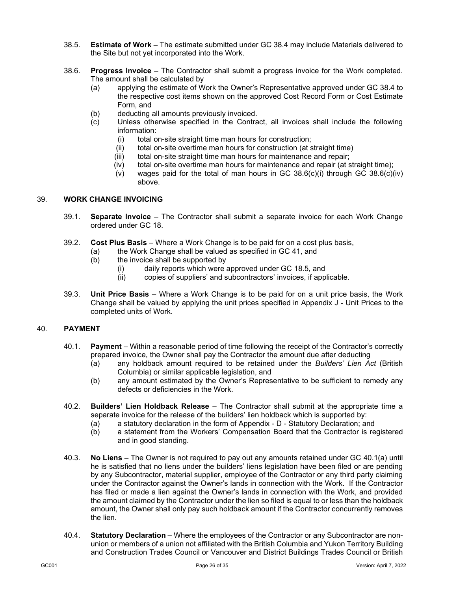- 38.5. **Estimate of Work** The estimate submitted under GC [38.4](#page-27-1) may include Materials delivered to the Site but not yet incorporated into the Work.
- <span id="page-28-0"></span>38.6. **Progress Invoice** – The Contractor shall submit a progress invoice for the Work completed. The amount shall be calculated by
	- (a) applying the estimate of Work the Owner's Representative approved under GC [38.4](#page-27-1) to the respective cost items shown on the approved Cost Record Form or Cost Estimate Form, and
	- (b) deducting all amounts previously invoiced.<br>(c) Unless otherwise specified in the Contra
	- Unless otherwise specified in the Contract, all invoices shall include the following information:
		- (i) total on-site straight time man hours for construction;
		- (ii) total on-site overtime man hours for construction (at straight time)<br>(iii) total on-site straight time man hours for maintenance and repair;
		- total on-site straight time man hours for maintenance and repair;
		- (iv) total on-site overtime man hours for maintenance and repair (at straight time);
			- (v) wages paid for the total of man hours in GC  $38.6(c)(i)$  through GC  $38.6(c)(iv)$ above.

## 39. **WORK CHANGE INVOICING**

- 39.1. **Separate Invoice** The Contractor shall submit a separate invoice for each Work Change ordered under GC [18.](#page-14-6)
- 39.2. **Cost Plus Basis** Where a Work Change is to be paid for on a cost plus basis,
	- (a) the Work Change shall be valued as specified in GC [41,](#page-29-0) and
	- (b) the invoice shall be supported by
		- (i) daily reports which were approved under GC [18.5,](#page-14-7) and
		- (ii) copies of suppliers' and subcontractors' invoices, if applicable.
- 39.3. **Unit Price Basis** Where a Work Change is to be paid for on a unit price basis, the Work Change shall be valued by applying the unit prices specified in Appendix J - Unit Prices to the completed units of Work.

#### <span id="page-28-2"></span>40. **PAYMENT**

- <span id="page-28-1"></span>40.1. **Payment** – Within a reasonable period of time following the receipt of the Contractor's correctly prepared invoice, the Owner shall pay the Contractor the amount due after deducting
	- (a) any holdback amount required to be retained under the *Builders' Lien Act* (British Columbia) or similar applicable legislation, and
	- (b) any amount estimated by the Owner's Representative to be sufficient to remedy any defects or deficiencies in the Work.
- 40.2. **Builders' Lien Holdback Release** The Contractor shall submit at the appropriate time a separate invoice for the release of the builders' lien holdback which is supported by:
	- (a) a statutory declaration in the form of Appendix D Statutory Declaration; and
	- (b) a statement from the Workers' Compensation Board that the Contractor is registered and in good standing.
- 40.3. **No Liens** The Owner is not required to pay out any amounts retained under GC [40.1\(a\)](#page-28-1) until he is satisfied that no liens under the builders' liens legislation have been filed or are pending by any Subcontractor, material supplier, employee of the Contractor or any third party claiming under the Contractor against the Owner's lands in connection with the Work. If the Contractor has filed or made a lien against the Owner's lands in connection with the Work, and provided the amount claimed by the Contractor under the lien so filed is equal to or less than the holdback amount, the Owner shall only pay such holdback amount if the Contractor concurrently removes the lien.
- 40.4. **Statutory Declaration** Where the employees of the Contractor or any Subcontractor are nonunion or members of a union not affiliated with the British Columbia and Yukon Territory Building and Construction Trades Council or Vancouver and District Buildings Trades Council or British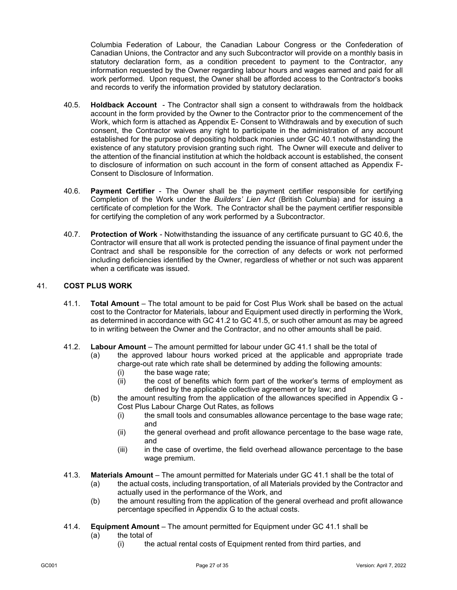Columbia Federation of Labour, the Canadian Labour Congress or the Confederation of Canadian Unions, the Contractor and any such Subcontractor will provide on a monthly basis in statutory declaration form, as a condition precedent to payment to the Contractor, any information requested by the Owner regarding labour hours and wages earned and paid for all work performed. Upon request, the Owner shall be afforded access to the Contractor's books and records to verify the information provided by statutory declaration.

- 40.5. **Holdback Account** The Contractor shall sign a consent to withdrawals from the holdback account in the form provided by the Owner to the Contractor prior to the commencement of the Work, which form is attached as Appendix E- Consent to Withdrawals and by execution of such consent, the Contractor waives any right to participate in the administration of any account established for the purpose of depositing holdback monies under GC [40.1](#page-28-2) notwithstanding the existence of any statutory provision granting such right. The Owner will execute and deliver to the attention of the financial institution at which the holdback account is established, the consent to disclosure of information on such account in the form of consent attached as Appendix F-Consent to Disclosure of Information.
- <span id="page-29-1"></span>40.6. **Payment Certifier** - The Owner shall be the payment certifier responsible for certifying Completion of the Work under the *Builders' Lien Act* (British Columbia) and for issuing a certificate of completion for the Work. The Contractor shall be the payment certifier responsible for certifying the completion of any work performed by a Subcontractor.
- 40.7. **Protection of Work** Notwithstanding the issuance of any certificate pursuant to GC [40.6,](#page-29-1) the Contractor will ensure that all work is protected pending the issuance of final payment under the Contract and shall be responsible for the correction of any defects or work not performed including deficiencies identified by the Owner, regardless of whether or not such was apparent when a certificate was issued.

## <span id="page-29-3"></span><span id="page-29-0"></span>41. **COST PLUS WORK**

- 41.1. **Total Amount**  The total amount to be paid for Cost Plus Work shall be based on the actual cost to the Contractor for Materials, labour and Equipment used directly in performing the Work, as determined in accordance with GC [41.2](#page-29-2) to GC [41.5,](#page-30-1) or such other amount as may be agreed to in writing between the Owner and the Contractor, and no other amounts shall be paid.
- <span id="page-29-2"></span>41.2. **Labour Amount** – The amount permitted for labour under GC [41.1](#page-29-3) shall be the total of
	- (a) the approved labour hours worked priced at the applicable and appropriate trade charge-out rate which rate shall be determined by adding the following amounts:
		- (i) the base wage rate;
		- (ii) the cost of benefits which form part of the worker's terms of employment as defined by the applicable collective agreement or by law; and
	- (b) the amount resulting from the application of the allowances specified in Appendix G Cost Plus Labour Charge Out Rates, as follows
		- (i) the small tools and consumables allowance percentage to the base wage rate; and
		- (ii) the general overhead and profit allowance percentage to the base wage rate, and
		- (iii) in the case of overtime, the field overhead allowance percentage to the base wage premium.
- 41.3. **Materials Amount**  The amount permitted for Materials under GC [41.1](#page-29-3) shall be the total of
	- (a) the actual costs, including transportation, of all Materials provided by the Contractor and actually used in the performance of the Work, and
	- (b) the amount resulting from the application of the general overhead and profit allowance percentage specified in Appendix G to the actual costs.
- 41.4. **Equipment Amount**  The amount permitted for Equipment under GC [41.1](#page-29-3) shall be
	- (a) the total of
		- (i) the actual rental costs of Equipment rented from third parties, and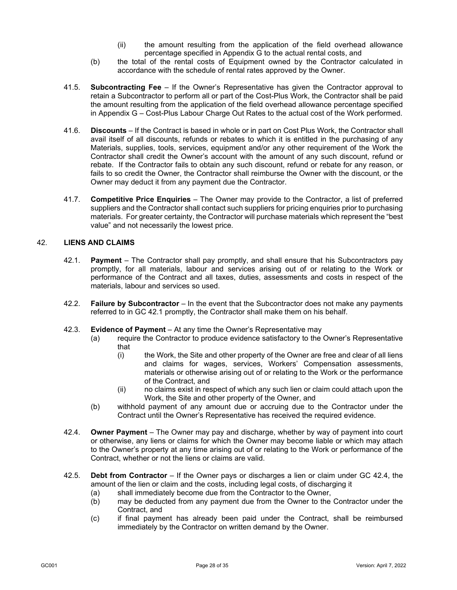- (ii) the amount resulting from the application of the field overhead allowance percentage specified in Appendix G to the actual rental costs, and
- (b) the total of the rental costs of Equipment owned by the Contractor calculated in accordance with the schedule of rental rates approved by the Owner.
- <span id="page-30-1"></span>41.5. **Subcontracting Fee** – If the Owner's Representative has given the Contractor approval to retain a Subcontractor to perform all or part of the Cost-Plus Work, the Contractor shall be paid the amount resulting from the application of the field overhead allowance percentage specified in Appendix G – Cost-Plus Labour Charge Out Rates to the actual cost of the Work performed.
- 41.6. **Discounts** If the Contract is based in whole or in part on Cost Plus Work, the Contractor shall avail itself of all discounts, refunds or rebates to which it is entitled in the purchasing of any Materials, supplies, tools, services, equipment and/or any other requirement of the Work the Contractor shall credit the Owner's account with the amount of any such discount, refund or rebate. If the Contractor fails to obtain any such discount, refund or rebate for any reason, or fails to so credit the Owner, the Contractor shall reimburse the Owner with the discount, or the Owner may deduct it from any payment due the Contractor.
- 41.7. **Competitive Price Enquiries** The Owner may provide to the Contractor, a list of preferred suppliers and the Contractor shall contact such suppliers for pricing enquiries prior to purchasing materials. For greater certainty, the Contractor will purchase materials which represent the "best value" and not necessarily the lowest price.

#### <span id="page-30-2"></span><span id="page-30-0"></span>42. **LIENS AND CLAIMS**

- 42.1. **Payment**  The Contractor shall pay promptly, and shall ensure that his Subcontractors pay promptly, for all materials, labour and services arising out of or relating to the Work or performance of the Contract and all taxes, duties, assessments and costs in respect of the materials, labour and services so used.
- 42.2. **Failure by Subcontractor** In the event that the Subcontractor does not make any payments referred to in GC [42.1](#page-30-2) promptly, the Contractor shall make them on his behalf.
- 42.3. **Evidence of Payment**  At any time the Owner's Representative may
	- (a) require the Contractor to produce evidence satisfactory to the Owner's Representative that
		- (i) the Work, the Site and other property of the Owner are free and clear of all liens and claims for wages, services, Workers' Compensation assessments, materials or otherwise arising out of or relating to the Work or the performance of the Contract, and
		- (ii) no claims exist in respect of which any such lien or claim could attach upon the Work, the Site and other property of the Owner, and
	- (b) withhold payment of any amount due or accruing due to the Contractor under the Contract until the Owner's Representative has received the required evidence.
- <span id="page-30-3"></span>42.4. **Owner Payment** – The Owner may pay and discharge, whether by way of payment into court or otherwise, any liens or claims for which the Owner may become liable or which may attach to the Owner's property at any time arising out of or relating to the Work or performance of the Contract, whether or not the liens or claims are valid.
- 42.5. **Debt from Contractor** If the Owner pays or discharges a lien or claim under GC [42.4,](#page-30-3) the amount of the lien or claim and the costs, including legal costs, of discharging it
	- (a) shall immediately become due from the Contractor to the Owner,
	- (b) may be deducted from any payment due from the Owner to the Contractor under the Contract, and
	- (c) if final payment has already been paid under the Contract, shall be reimbursed immediately by the Contractor on written demand by the Owner.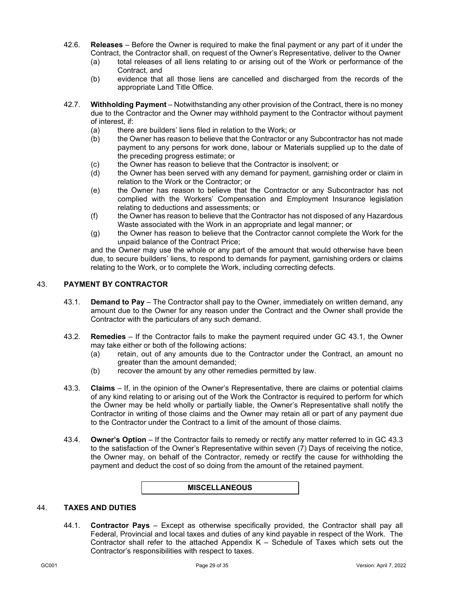- 42.6. **Releases** Before the Owner is required to make the final payment or any part of it under the Contract, the Contractor shall, on request of the Owner's Representative, deliver to the Owner
	- (a) total releases of all liens relating to or arising out of the Work or performance of the Contract, and
	- (b) evidence that all those liens are cancelled and discharged from the records of the appropriate Land Title Office.
- 42.7. **Withholding Payment** Notwithstanding any other provision of the Contract, there is no money due to the Contractor and the Owner may withhold payment to the Contractor without payment of interest, if:
	- (a) there are builders' liens filed in relation to the Work; or
	- (b) the Owner has reason to believe that the Contractor or any Subcontractor has not made payment to any persons for work done, labour or Materials supplied up to the date of the preceding progress estimate; or
	- (c) the Owner has reason to believe that the Contractor is insolvent; or
	- (d) the Owner has been served with any demand for payment, garnishing order or claim in relation to the Work or the Contractor; or
	- (e) the Owner has reason to believe that the Contractor or any Subcontractor has not complied with the Workers' Compensation and Employment Insurance legislation relating to deductions and assessments; or
	- (f) the Owner has reason to believe that the Contractor has not disposed of any Hazardous Waste associated with the Work in an appropriate and legal manner; or
	- (g) the Owner has reason to believe that the Contractor cannot complete the Work for the unpaid balance of the Contract Price;

and the Owner may use the whole or any part of the amount that would otherwise have been due, to secure builders' liens, to respond to demands for payment, garnishing orders or claims relating to the Work, or to complete the Work, including correcting defects.

## <span id="page-31-1"></span><span id="page-31-0"></span>43. **PAYMENT BY CONTRACTOR**

- 43.1. **Demand to Pay** The Contractor shall pay to the Owner, immediately on written demand, any amount due to the Owner for any reason under the Contract and the Owner shall provide the Contractor with the particulars of any such demand.
- 43.2. **Remedies** If the Contractor fails to make the payment required under GC [43.1,](#page-31-1) the Owner may take either or both of the following actions:
	- (a) retain, out of any amounts due to the Contractor under the Contract, an amount no greater than the amount demanded;
	- (b) recover the amount by any other remedies permitted by law.
- <span id="page-31-2"></span>43.3. **Claims** – If, in the opinion of the Owner's Representative, there are claims or potential claims of any kind relating to or arising out of the Work the Contractor is required to perform for which the Owner may be held wholly or partially liable, the Owner's Representative shall notify the Contractor in writing of those claims and the Owner may retain all or part of any payment due to the Contractor under the Contract to a limit of the amount of those claims.
- 43.4. **Owner's Option** If the Contractor fails to remedy or rectify any matter referred to in GC [43.3](#page-31-2) to the satisfaction of the Owner's Representative within seven (7) Days of receiving the notice, the Owner may, on behalf of the Contractor, remedy or rectify the cause for withholding the payment and deduct the cost of so doing from the amount of the retained payment.

#### **MISCELLANEOUS**

## 44. **TAXES AND DUTIES**

44.1. **Contractor Pays** – Except as otherwise specifically provided, the Contractor shall pay all Federal, Provincial and local taxes and duties of any kind payable in respect of the Work. The Contractor shall refer to the attached Appendix  $K -$  Schedule of Taxes which sets out the Contractor's responsibilities with respect to taxes.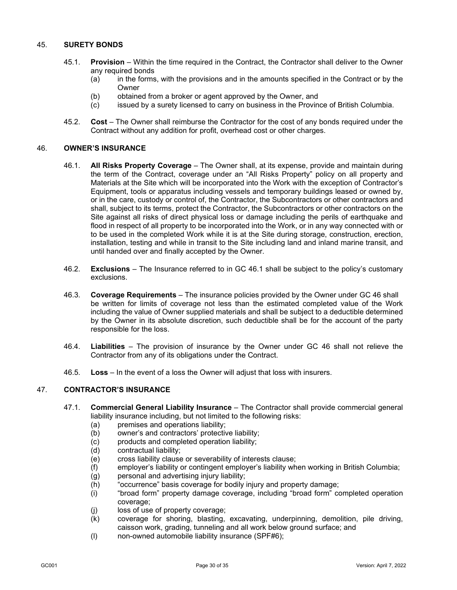## 45. **SURETY BONDS**

- 45.1. **Provision** Within the time required in the Contract, the Contractor shall deliver to the Owner any required bonds
	- (a) in the forms, with the provisions and in the amounts specified in the Contract or by the Owner
	- (b) obtained from a broker or agent approved by the Owner, and
	- (c) issued by a surety licensed to carry on business in the Province of British Columbia.
- 45.2. **Cost** The Owner shall reimburse the Contractor for the cost of any bonds required under the Contract without any addition for profit, overhead cost or other charges.

## 46. **OWNER'S INSURANCE**

- 46.1. **All Risks Property Coverage** The Owner shall, at its expense, provide and maintain during the term of the Contract, coverage under an "All Risks Property" policy on all property and Materials at the Site which will be incorporated into the Work with the exception of Contractor's Equipment, tools or apparatus including vessels and temporary buildings leased or owned by, or in the care, custody or control of, the Contractor, the Subcontractors or other contractors and shall, subject to its terms, protect the Contractor, the Subcontractors or other contractors on the Site against all risks of direct physical loss or damage including the perils of earthquake and flood in respect of all property to be incorporated into the Work, or in any way connected with or to be used in the completed Work while it is at the Site during storage, construction, erection, installation, testing and while in transit to the Site including land and inland marine transit, and until handed over and finally accepted by the Owner.
- 46.2. **Exclusions** The Insurance referred to in GC 46.1 shall be subject to the policy's customary exclusions.
- 46.3. **Coverage Requirements** The insurance policies provided by the Owner under GC 46 shall be written for limits of coverage not less than the estimated completed value of the Work including the value of Owner supplied materials and shall be subject to a deductible determined by the Owner in its absolute discretion, such deductible shall be for the account of the party responsible for the loss.
- 46.4. **Liabilities** The provision of insurance by the Owner under GC 46 shall not relieve the Contractor from any of its obligations under the Contract.
- 46.5. **Loss** In the event of a loss the Owner will adjust that loss with insurers.

## 47. **CONTRACTOR'S INSURANCE**

- 47.1. **Commercial General Liability Insurance** The Contractor shall provide commercial general liability insurance including, but not limited to the following risks:
	- (a) premises and operations liability;
	- (b) owner's and contractors' protective liability;
	- (c) products and completed operation liability;
	- (d) contractual liability;
	- (e) cross liability clause or severability of interests clause;<br>(f) employer's liability or contingent employer's liability wh
	- employer's liability or contingent employer's liability when working in British Columbia;
	- (g) personal and advertising injury liability;
	- (h) "occurrence" basis coverage for bodily injury and property damage;
	- (i) "broad form" property damage coverage, including "broad form" completed operation coverage;
	- (j) loss of use of property coverage;
	- (k) coverage for shoring, blasting, excavating, underpinning, demolition, pile driving, caisson work, grading, tunneling and all work below ground surface; and
	- (l) non-owned automobile liability insurance (SPF#6);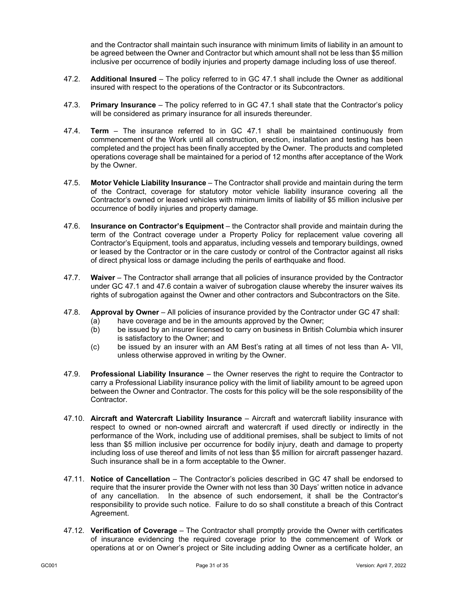and the Contractor shall maintain such insurance with minimum limits of liability in an amount to be agreed between the Owner and Contractor but which amount shall not be less than \$5 million inclusive per occurrence of bodily injuries and property damage including loss of use thereof.

- 47.2. **Additional Insured**  The policy referred to in GC 47.1 shall include the Owner as additional insured with respect to the operations of the Contractor or its Subcontractors.
- 47.3. **Primary Insurance** The policy referred to in GC 47.1 shall state that the Contractor's policy will be considered as primary insurance for all insureds thereunder.
- 47.4. **Term** The insurance referred to in GC 47.1 shall be maintained continuously from commencement of the Work until all construction, erection, installation and testing has been completed and the project has been finally accepted by the Owner. The products and completed operations coverage shall be maintained for a period of 12 months after acceptance of the Work by the Owner.
- 47.5. **Motor Vehicle Liability Insurance**  The Contractor shall provide and maintain during the term of the Contract, coverage for statutory motor vehicle liability insurance covering all the Contractor's owned or leased vehicles with minimum limits of liability of \$5 million inclusive per occurrence of bodily injuries and property damage.
- <span id="page-33-0"></span>47.6. **Insurance on Contractor's Equipment** – the Contractor shall provide and maintain during the term of the Contract coverage under a Property Policy for replacement value covering all Contractor's Equipment, tools and apparatus, including vessels and temporary buildings, owned or leased by the Contractor or in the care custody or control of the Contractor against all risks of direct physical loss or damage including the perils of earthquake and flood.
- 47.7. **Waiver**  The Contractor shall arrange that all policies of insurance provided by the Contractor under GC 47.1 and [47.6](#page-33-0) contain a waiver of subrogation clause whereby the insurer waives its rights of subrogation against the Owner and other contractors and Subcontractors on the Site.
- 47.8. **Approval by Owner** All policies of insurance provided by the Contractor under GC 47 shall:
	- (a) have coverage and be in the amounts approved by the Owner;<br>(b) be issued by an insurer licensed to carry on business in British
	- be issued by an insurer licensed to carry on business in British Columbia which insurer is satisfactory to the Owner; and
	- (c) be issued by an insurer with an AM Best's rating at all times of not less than A- VII, unless otherwise approved in writing by the Owner.
- 47.9. **Professional Liability Insurance** the Owner reserves the right to require the Contractor to carry a Professional Liability insurance policy with the limit of liability amount to be agreed upon between the Owner and Contractor. The costs for this policy will be the sole responsibility of the Contractor.
- 47.10. **Aircraft and Watercraft Liability Insurance** Aircraft and watercraft liability insurance with respect to owned or non-owned aircraft and watercraft if used directly or indirectly in the performance of the Work, including use of additional premises, shall be subject to limits of not less than \$5 million inclusive per occurrence for bodily injury, death and damage to property including loss of use thereof and limits of not less than \$5 million for aircraft passenger hazard. Such insurance shall be in a form acceptable to the Owner.
- 47.11. **Notice of Cancellation**  The Contractor's policies described in GC 47 shall be endorsed to require that the insurer provide the Owner with not less than 30 Days' written notice in advance of any cancellation. In the absence of such endorsement, it shall be the Contractor's responsibility to provide such notice. Failure to do so shall constitute a breach of this Contract Agreement.
- 47.12. **Verification of Coverage** The Contractor shall promptly provide the Owner with certificates of insurance evidencing the required coverage prior to the commencement of Work or operations at or on Owner's project or Site including adding Owner as a certificate holder, an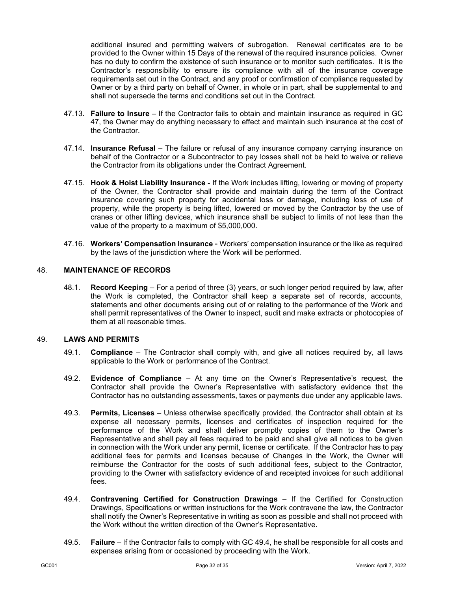additional insured and permitting waivers of subrogation. Renewal certificates are to be provided to the Owner within 15 Days of the renewal of the required insurance policies. Owner has no duty to confirm the existence of such insurance or to monitor such certificates. It is the Contractor's responsibility to ensure its compliance with all of the insurance coverage requirements set out in the Contract, and any proof or confirmation of compliance requested by Owner or by a third party on behalf of Owner, in whole or in part, shall be supplemental to and shall not supersede the terms and conditions set out in the Contract.

- 47.13. **Failure to Insure** If the Contractor fails to obtain and maintain insurance as required in GC 47, the Owner may do anything necessary to effect and maintain such insurance at the cost of the Contractor.
- 47.14. **Insurance Refusal** The failure or refusal of any insurance company carrying insurance on behalf of the Contractor or a Subcontractor to pay losses shall not be held to waive or relieve the Contractor from its obligations under the Contract Agreement.
- 47.15. **Hook & Hoist Liability Insurance** If the Work includes lifting, lowering or moving of property of the Owner, the Contractor shall provide and maintain during the term of the Contract insurance covering such property for accidental loss or damage, including loss of use of property, while the property is being lifted, lowered or moved by the Contractor by the use of cranes or other lifting devices, which insurance shall be subject to limits of not less than the value of the property to a maximum of \$5,000,000.
- 47.16. **Workers' Compensation Insurance** Workers' compensation insurance or the like as required by the laws of the jurisdiction where the Work will be performed.

## 48. **MAINTENANCE OF RECORDS**

48.1. **Record Keeping** – For a period of three (3) years, or such longer period required by law, after the Work is completed, the Contractor shall keep a separate set of records, accounts, statements and other documents arising out of or relating to the performance of the Work and shall permit representatives of the Owner to inspect, audit and make extracts or photocopies of them at all reasonable times.

#### 49. **LAWS AND PERMITS**

- 49.1. **Compliance** The Contractor shall comply with, and give all notices required by, all laws applicable to the Work or performance of the Contract.
- 49.2. **Evidence of Compliance** At any time on the Owner's Representative's request, the Contractor shall provide the Owner's Representative with satisfactory evidence that the Contractor has no outstanding assessments, taxes or payments due under any applicable laws.
- 49.3. **Permits, Licenses** Unless otherwise specifically provided, the Contractor shall obtain at its expense all necessary permits, licenses and certificates of inspection required for the performance of the Work and shall deliver promptly copies of them to the Owner's Representative and shall pay all fees required to be paid and shall give all notices to be given in connection with the Work under any permit, license or certificate. If the Contractor has to pay additional fees for permits and licenses because of Changes in the Work, the Owner will reimburse the Contractor for the costs of such additional fees, subject to the Contractor, providing to the Owner with satisfactory evidence of and receipted invoices for such additional fees.
- <span id="page-34-0"></span>49.4. **Contravening Certified for Construction Drawings** – If the Certified for Construction Drawings, Specifications or written instructions for the Work contravene the law, the Contractor shall notify the Owner's Representative in writing as soon as possible and shall not proceed with the Work without the written direction of the Owner's Representative.
- 49.5. **Failure**  If the Contractor fails to comply with GC [49.4,](#page-34-0) he shall be responsible for all costs and expenses arising from or occasioned by proceeding with the Work.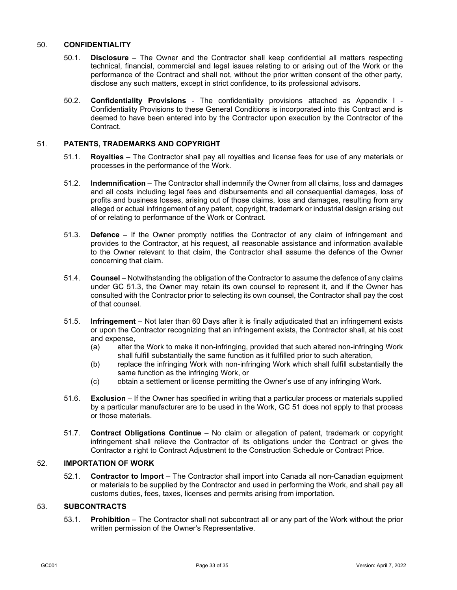#### 50. **CONFIDENTIALITY**

- 50.1. **Disclosure** The Owner and the Contractor shall keep confidential all matters respecting technical, financial, commercial and legal issues relating to or arising out of the Work or the performance of the Contract and shall not, without the prior written consent of the other party, disclose any such matters, except in strict confidence, to its professional advisors.
- 50.2. **Confidentiality Provisions** The confidentiality provisions attached as Appendix I Confidentiality Provisions to these General Conditions is incorporated into this Contract and is deemed to have been entered into by the Contractor upon execution by the Contractor of the Contract.

## <span id="page-35-1"></span>51. **PATENTS, TRADEMARKS AND COPYRIGHT**

- 51.1. **Royalties** The Contractor shall pay all royalties and license fees for use of any materials or processes in the performance of the Work.
- 51.2. **lndemnification** The Contractor shall indemnify the Owner from all claims, loss and damages and all costs including legal fees and disbursements and all consequential damages, loss of profits and business losses, arising out of those claims, loss and damages, resulting from any alleged or actual infringement of any patent, copyright, trademark or industrial design arising out of or relating to performance of the Work or Contract.
- <span id="page-35-0"></span>51.3. **Defence** – If the Owner promptly notifies the Contractor of any claim of infringement and provides to the Contractor, at his request, all reasonable assistance and information available to the Owner relevant to that claim, the Contractor shall assume the defence of the Owner concerning that claim.
- 51.4. **Counsel** Notwithstanding the obligation of the Contractor to assume the defence of any claims under GC [51.3,](#page-35-0) the Owner may retain its own counsel to represent it, and if the Owner has consulted with the Contractor prior to selecting its own counsel, the Contractor shall pay the cost of that counsel.
- 51.5. **lnfringement** Not later than 60 Days after it is finally adjudicated that an infringement exists or upon the Contractor recognizing that an infringement exists, the Contractor shall, at his cost and expense,
	- (a) alter the Work to make it non-infringing, provided that such altered non-infringing Work shall fulfill substantially the same function as it fulfilled prior to such alteration,
	- (b) replace the infringing Work with non-infringing Work which shall fulfill substantially the same function as the infringing Work, or
	- (c) obtain a settlement or license permitting the Owner's use of any infringing Work.
- 51.6. **Exclusion** If the Owner has specified in writing that a particular process or materials supplied by a particular manufacturer are to be used in the Work, GC [51](#page-35-1) does not apply to that process or those materials.
- 51.7. **Contract Obligations Continue** No claim or allegation of patent, trademark or copyright infringement shall relieve the Contractor of its obligations under the Contract or gives the Contractor a right to Contract Adjustment to the Construction Schedule or Contract Price.

## 52. **IMPORTATION OF WORK**

52.1. **Contractor to Import** – The Contractor shall import into Canada all non-Canadian equipment or materials to be supplied by the Contractor and used in performing the Work, and shall pay all customs duties, fees, taxes, licenses and permits arising from importation.

## <span id="page-35-2"></span>53. **SUBCONTRACTS**

53.1. **Prohibition** – The Contractor shall not subcontract all or any part of the Work without the prior written permission of the Owner's Representative.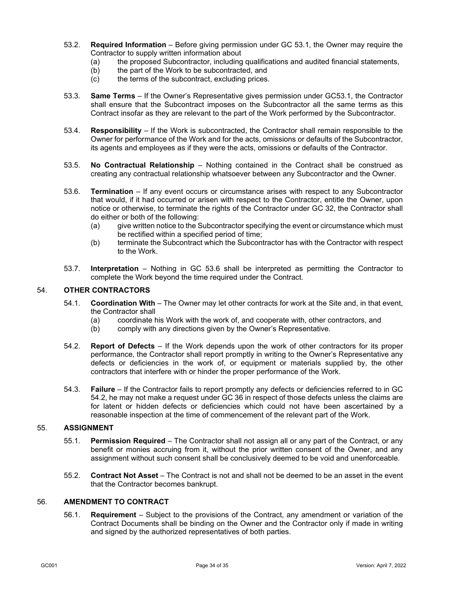- 53.2. **Required Information** Before giving permission under GC [53.1,](#page-35-2) the Owner may require the Contractor to supply written information about
	- (a) the proposed Subcontractor, including qualifications and audited financial statements,<br>(b) the part of the Work to be subcontracted, and
	- the part of the Work to be subcontracted, and
	- (c) the terms of the subcontract, excluding prices.
- 53.3. **Same Terms** If the Owner's Representative gives permission under GC53.1, the Contractor shall ensure that the Subcontract imposes on the Subcontractor all the same terms as this Contract insofar as they are relevant to the part of the Work performed by the Subcontractor.
- 53.4. **Responsibility** If the Work is subcontracted, the Contractor shall remain responsible to the Owner for performance of the Work and for the acts, omissions or defaults of the Subcontractor, its agents and employees as if they were the acts, omissions or defaults of the Contractor.
- 53.5. **No Contractual Relationship** Nothing contained in the Contract shall be construed as creating any contractual relationship whatsoever between any Subcontractor and the Owner.
- <span id="page-36-1"></span>53.6. **Termination** – If any event occurs or circumstance arises with respect to any Subcontractor that would, if it had occurred or arisen with respect to the Contractor, entitle the Owner, upon notice or otherwise, to terminate the rights of the Contractor under GC [32,](#page-23-3) the Contractor shall do either or both of the following:
	- (a) give written notice to the Subcontractor specifying the event or circumstance which must be rectified within a specified period of time;
	- (b) terminate the Subcontract which the Subcontractor has with the Contractor with respect to the Work.
- 53.7. **Interpretation** Nothing in GC [53.6](#page-36-1) shall be interpreted as permitting the Contractor to complete the Work beyond the time required under the Contract.

## 54. **OTHER CONTRACTORS**

- 54.1. **Coordination With** The Owner may let other contracts for work at the Site and, in that event, the Contractor shall
	- (a) coordinate his Work with the work of, and cooperate with, other contractors, and
	- (b) comply with any directions given by the Owner's Representative.
- <span id="page-36-2"></span>54.2. **Report of Defects** – If the Work depends upon the work of other contractors for its proper performance, the Contractor shall report promptly in writing to the Owner's Representative any defects or deficiencies in the work of, or equipment or materials supplied by, the other contractors that interfere with or hinder the proper performance of the Work.
- 54.3. **Failure** If the Contractor fails to report promptly any defects or deficiencies referred to in GC [54.2,](#page-36-2) he may not make a request under G[C 36](#page-26-0) in respect of those defects unless the claims are for latent or hidden defects or deficiencies which could not have been ascertained by a reasonable inspection at the time of commencement of the relevant part of the Work.

#### 55. **ASSIGNMENT**

- 55.1. **Permission Required** The Contractor shall not assign all or any part of the Contract, or any benefit or monies accruing from it, without the prior written consent of the Owner, and any assignment without such consent shall be conclusively deemed to be void and unenforceable.
- 55.2. **Contract Not Asset** The Contract is not and shall not be deemed to be an asset in the event that the Contractor becomes bankrupt.

#### <span id="page-36-0"></span>56. **AMENDMENT TO CONTRACT**

56.1. **Requirement** – Subject to the provisions of the Contract, any amendment or variation of the Contract Documents shall be binding on the Owner and the Contractor only if made in writing and signed by the authorized representatives of both parties.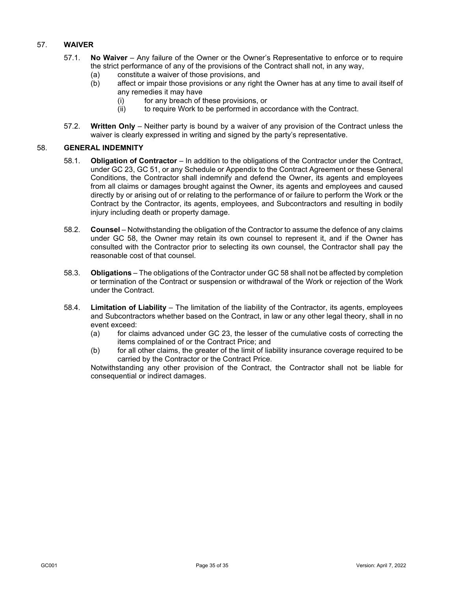## 57. **WAIVER**

- 57.1. **No Waiver** Any failure of the Owner or the Owner's Representative to enforce or to require the strict performance of any of the provisions of the Contract shall not, in any way,
	- (a) constitute a waiver of those provisions, and
	- (b) affect or impair those provisions or any right the Owner has at any time to avail itself of any remedies it may have
		- (i) for any breach of these provisions, or
		- (ii) to require Work to be performed in accordance with the Contract.
- 57.2. **Written Only** Neither party is bound by a waiver of any provision of the Contract unless the waiver is clearly expressed in writing and signed by the party's representative.

## <span id="page-37-0"></span>58. **GENERAL INDEMNITY**

- 58.1. **Obligation of Contractor** In addition to the obligations of the Contractor under the Contract, under GC [23,](#page-17-3) GC [51,](#page-35-1) or any Schedule or Appendix to the Contract Agreement or these General Conditions, the Contractor shall indemnify and defend the Owner, its agents and employees from all claims or damages brought against the Owner, its agents and employees and caused directly by or arising out of or relating to the performance of or failure to perform the Work or the Contract by the Contractor, its agents, employees, and Subcontractors and resulting in bodily injury including death or property damage.
- 58.2. **Counsel** Notwithstanding the obligation of the Contractor to assume the defence of any claims under GC [58,](#page-37-0) the Owner may retain its own counsel to represent it, and if the Owner has consulted with the Contractor prior to selecting its own counsel, the Contractor shall pay the reasonable cost of that counsel.
- 58.3. **Obligations** The obligations of the Contractor under GC [58](#page-37-0) shall not be affected by completion or termination of the Contract or suspension or withdrawal of the Work or rejection of the Work under the Contract.
- 58.4. **Limitation of Liability** The limitation of the liability of the Contractor, its agents, employees and Subcontractors whether based on the Contract, in law or any other legal theory, shall in no event exceed:
	- (a) for claims advanced under GC [23,](#page-17-3) the lesser of the cumulative costs of correcting the items complained of or the Contract Price; and
	- (b) for all other claims, the greater of the limit of liability insurance coverage required to be carried by the Contractor or the Contract Price.

Notwithstanding any other provision of the Contract, the Contractor shall not be liable for consequential or indirect damages.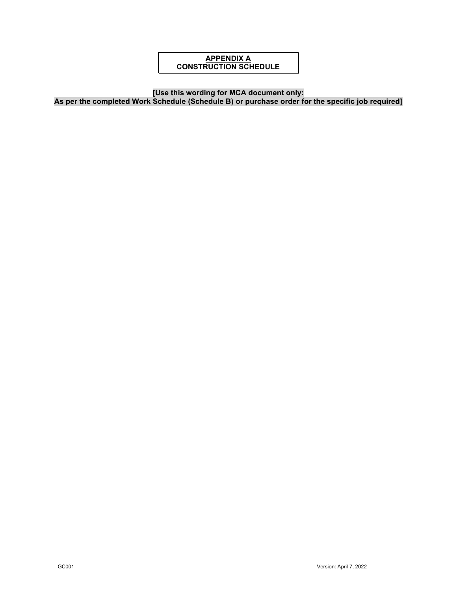## **APPENDIX A CONSTRUCTION SCHEDULE**

**[Use this wording for MCA document only:**

**As per the completed Work Schedule (Schedule B) or purchase order for the specific job required]**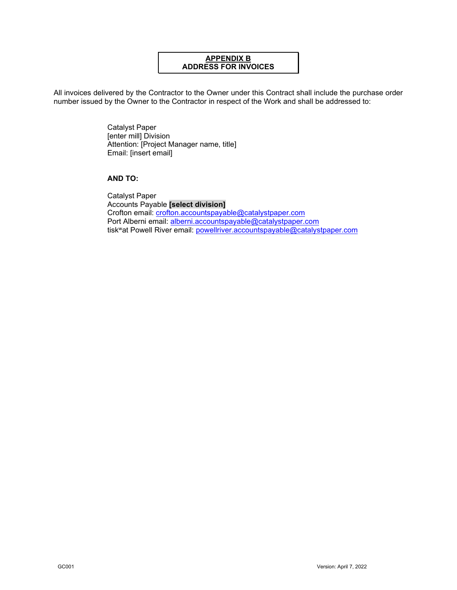## **APPENDIX B ADDRESS FOR INVOICES**

All invoices delivered by the Contractor to the Owner under this Contract shall include the purchase order number issued by the Owner to the Contractor in respect of the Work and shall be addressed to:

> Catalyst Paper [enter mill] Division Attention: [Project Manager name, title] Email: [insert email]

## **AND TO:**

Catalyst Paper Accounts Payable **[select division]** Crofton email: [crofton.accountspayable@catalystpaper.com](mailto:crofton.accountspayable@catalystpaper.com) Port Alberni email: [alberni.accountspayable@catalystpaper.com](mailto:alberni.accountspayable@catalystpaper.com) tiskwat Powell River email: [powellriver.accountspayable@catalystpaper.com](mailto:powellriver.accountspayable@catalystpaper.com)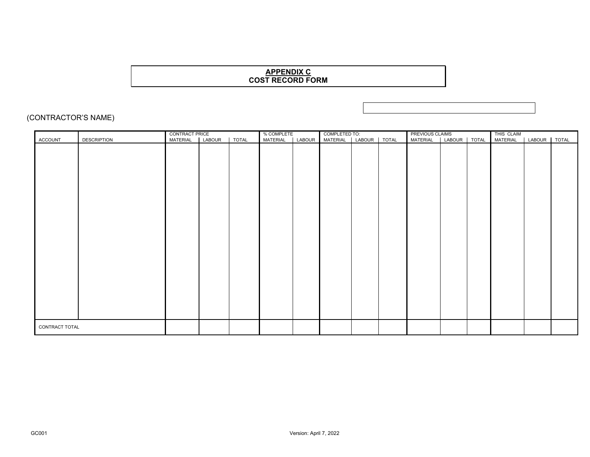## **APPENDIX C COST RECORD FORM**

## (CONTRACTOR'S NAME)

|                |                    |  | _% COMPLETE<br>MATERIAL |        | COMPLETED TO:<br>MATERIAL   LABOUR   TOTAL |  | PREVIOUS CLAIMS<br>MATERIAL   LABOUR   TOTAL |  | THIS CLAIM      |                     |       |
|----------------|--------------------|--|-------------------------|--------|--------------------------------------------|--|----------------------------------------------|--|-----------------|---------------------|-------|
| <b>ACCOUNT</b> | <b>DESCRIPTION</b> |  |                         | LABOUR |                                            |  |                                              |  | <b>MATERIAL</b> | LABOUR <sup>T</sup> | TOTAL |
|                |                    |  |                         |        |                                            |  |                                              |  |                 |                     |       |
|                |                    |  |                         |        |                                            |  |                                              |  |                 |                     |       |
|                |                    |  |                         |        |                                            |  |                                              |  |                 |                     |       |
|                |                    |  |                         |        |                                            |  |                                              |  |                 |                     |       |
|                |                    |  |                         |        |                                            |  |                                              |  |                 |                     |       |
|                |                    |  |                         |        |                                            |  |                                              |  |                 |                     |       |
|                |                    |  |                         |        |                                            |  |                                              |  |                 |                     |       |
|                |                    |  |                         |        |                                            |  |                                              |  |                 |                     |       |
|                |                    |  |                         |        |                                            |  |                                              |  |                 |                     |       |
|                |                    |  |                         |        |                                            |  |                                              |  |                 |                     |       |
|                |                    |  |                         |        |                                            |  |                                              |  |                 |                     |       |
|                |                    |  |                         |        |                                            |  |                                              |  |                 |                     |       |
|                |                    |  |                         |        |                                            |  |                                              |  |                 |                     |       |
|                |                    |  |                         |        |                                            |  |                                              |  |                 |                     |       |
| CONTRACT TOTAL |                    |  |                         |        |                                            |  |                                              |  |                 |                     |       |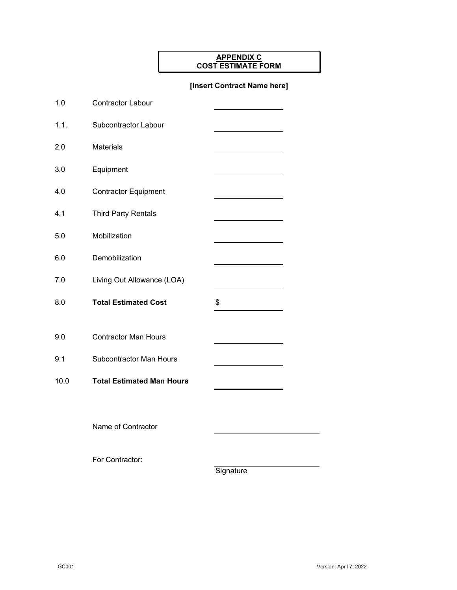## **APPENDIX C COST ESTIMATE FORM**

## **[Insert Contract Name here]**

| 1.0  | <b>Contractor Labour</b>         |    |
|------|----------------------------------|----|
| 1.1. | <b>Subcontractor Labour</b>      |    |
| 2.0  | <b>Materials</b>                 |    |
| 3.0  | Equipment                        |    |
| 4.0  | <b>Contractor Equipment</b>      |    |
| 4.1  | <b>Third Party Rentals</b>       |    |
| 5.0  | Mobilization                     |    |
| 6.0  | Demobilization                   |    |
| 7.0  | Living Out Allowance (LOA)       |    |
| 8.0  | <b>Total Estimated Cost</b>      | \$ |
|      |                                  |    |
| 9.0  | <b>Contractor Man Hours</b>      |    |
| 9.1  | <b>Subcontractor Man Hours</b>   |    |
| 10.0 | <b>Total Estimated Man Hours</b> |    |
|      |                                  |    |
|      | Name of Contractor               |    |
|      |                                  |    |

For Contractor:

**Signature**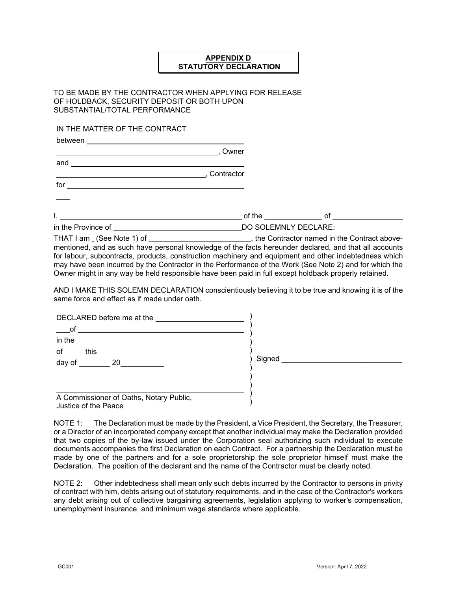## **APPENDIX D STATUTORY DECLARATION**

## TO BE MADE BY THE CONTRACTOR WHEN APPLYING FOR RELEASE OF HOLDBACK, SECURITY DEPOSIT OR BOTH UPON SUBSTANTIAL/TOTAL PERFORMANCE

IN THE MATTER OF THE CONTRACT

and

between \_\_\_\_\_\_\_\_\_\_\_\_\_\_\_\_\_\_\_

, Owner

, Contractor

for the contract of the contract of the contract of the contract of the contract of the contract of the contract of the contract of the contract of the contract of the contract of the contract of the contract of the contra

 $I, \underline{\hspace{1.5cm}}$  of the  $\underline{\hspace{1.5cm}}$  of  $\underline{\hspace{1.5cm}}$  of  $\underline{\hspace{1.5cm}}$ 

in the Province of **DO SOLEMNLY DECLARE:** 

THAT I am (See Note 1) of  $\overline{\phantom{a}}$ , the Contractor named in the Contract abovementioned, and as such have personal knowledge of the facts hereunder declared, and that all accounts for labour, subcontracts, products, construction machinery and equipment and other indebtedness which may have been incurred by the Contractor in the Performance of the Work (See Note 2) and for which the Owner might in any way be held responsible have been paid in full except holdback properly retained.

AND I MAKE THIS SOLEMN DECLARATION conscientiously believing it to be true and knowing it is of the same force and effect as if made under oath.

| DECLARED before me at the                                       |        |
|-----------------------------------------------------------------|--------|
| $\overline{\phantom{0}}$ of<br>in the                           |        |
| of<br>this                                                      |        |
| day of 20                                                       | Signed |
|                                                                 |        |
| A Commissioner of Oaths, Notary Public,<br>Justice of the Peace |        |

NOTE 1: The Declaration must be made by the President, a Vice President, the Secretary, the Treasurer, or a Director of an incorporated company except that another individual may make the Declaration provided that two copies of the by-law issued under the Corporation seal authorizing such individual to execute documents accompanies the first Declaration on each Contract. For a partnership the Declaration must be made by one of the partners and for a sole proprietorship the sole proprietor himself must make the Declaration. The position of the declarant and the name of the Contractor must be clearly noted.

NOTE 2: Other indebtedness shall mean only such debts incurred by the Contractor to persons in privity of contract with him, debts arising out of statutory requirements, and in the case of the Contractor's workers any debt arising out of collective bargaining agreements, legislation applying to worker's compensation, unemployment insurance, and minimum wage standards where applicable.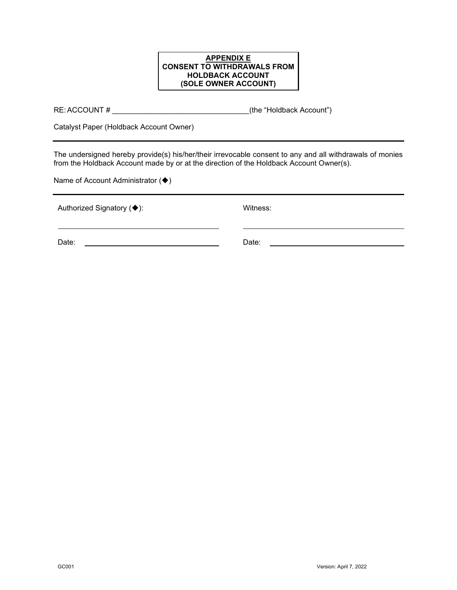## **APPENDIX E CONSENT TO WITHDRAWALS FROM HOLDBACK ACCOUNT (SOLE OWNER ACCOUNT)**

RE:ACCOUNT # \_\_\_\_\_\_\_\_\_\_\_\_\_\_\_\_\_\_\_\_\_\_\_\_\_\_\_\_\_\_\_\_\_(the "Holdback Account")

Catalyst Paper (Holdback Account Owner)

The undersigned hereby provide(s) his/her/their irrevocable consent to any and all withdrawals of monies from the Holdback Account made by or at the direction of the Holdback Account Owner(s).

Name of Account Administrator  $(\blacklozenge)$ 

| Authorized Signatory (♦): | Witness: |
|---------------------------|----------|
| Date:                     | Date:    |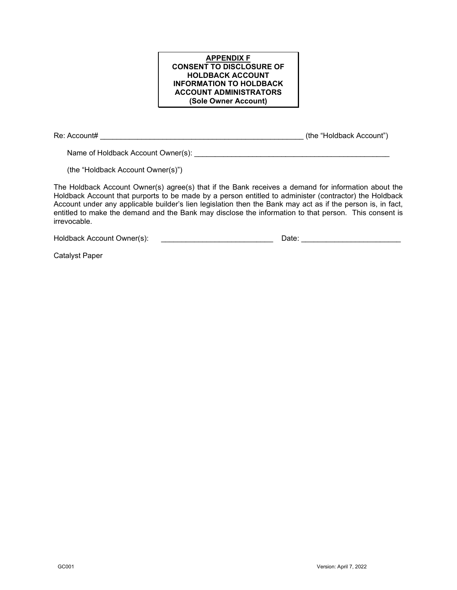#### **APPENDIX F CONSENT TO DISCLOSURE OF HOLDBACK ACCOUNT INFORMATION TO HOLDBACK ACCOUNT ADMINISTRATORS (Sole Owner Account)**

Re: Account# \_\_\_\_\_\_\_\_\_\_\_\_\_\_\_\_\_\_\_\_\_\_\_\_\_\_\_\_\_\_\_\_\_\_\_\_\_\_\_\_\_\_\_\_\_\_\_\_\_ (the "Holdback Account")

Name of Holdback Account Owner(s):

(the "Holdback Account Owner(s)")

The Holdback Account Owner(s) agree(s) that if the Bank receives a demand for information about the Holdback Account that purports to be made by a person entitled to administer (contractor) the Holdback Account under any applicable builder's lien legislation then the Bank may act as if the person is, in fact, entitled to make the demand and the Bank may disclose the information to that person. This consent is irrevocable.

Holdback Account Owner(s): \_\_\_\_\_\_\_\_\_\_\_\_\_\_\_\_\_\_\_\_\_\_\_\_\_\_\_ Date: \_\_\_\_\_\_\_\_\_\_\_\_\_\_\_\_\_\_\_\_\_\_\_\_

Catalyst Paper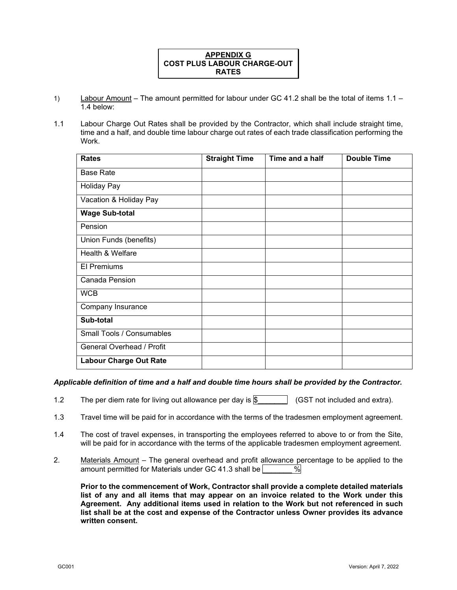

- 1) Labour Amount The amount permitted for labour under GC 41.2 shall be the total of items 1.1 1.4 below:
- 1.1 Labour Charge Out Rates shall be provided by the Contractor, which shall include straight time, time and a half, and double time labour charge out rates of each trade classification performing the Work.

| <b>Rates</b>                  | <b>Straight Time</b> | Time and a half | <b>Double Time</b> |
|-------------------------------|----------------------|-----------------|--------------------|
| <b>Base Rate</b>              |                      |                 |                    |
| <b>Holiday Pay</b>            |                      |                 |                    |
| Vacation & Holiday Pay        |                      |                 |                    |
| <b>Wage Sub-total</b>         |                      |                 |                    |
| Pension                       |                      |                 |                    |
| Union Funds (benefits)        |                      |                 |                    |
| Health & Welfare              |                      |                 |                    |
| <b>El Premiums</b>            |                      |                 |                    |
| Canada Pension                |                      |                 |                    |
| <b>WCB</b>                    |                      |                 |                    |
| Company Insurance             |                      |                 |                    |
| Sub-total                     |                      |                 |                    |
| Small Tools / Consumables     |                      |                 |                    |
| General Overhead / Profit     |                      |                 |                    |
| <b>Labour Charge Out Rate</b> |                      |                 |                    |

#### *Applicable definition of time and a half and double time hours shall be provided by the Contractor.*

- 1.2 The per diem rate for living out allowance per day is  $\sqrt{\$$  (GST not included and extra).
- 1.3 Travel time will be paid for in accordance with the terms of the tradesmen employment agreement.
- 1.4 The cost of travel expenses, in transporting the employees referred to above to or from the Site, will be paid for in accordance with the terms of the applicable tradesmen employment agreement.
- 2. Materials Amount The general overhead and profit allowance percentage to be applied to the amount permitted for Materials under GC 41.3 shall be  $\sqrt{\frac{9}{10}}$ amount permitted for Materials under GC 41.3 shall be  $\Box$

**Prior to the commencement of Work, Contractor shall provide a complete detailed materials list of any and all items that may appear on an invoice related to the Work under this Agreement. Any additional items used in relation to the Work but not referenced in such list shall be at the cost and expense of the Contractor unless Owner provides its advance written consent.**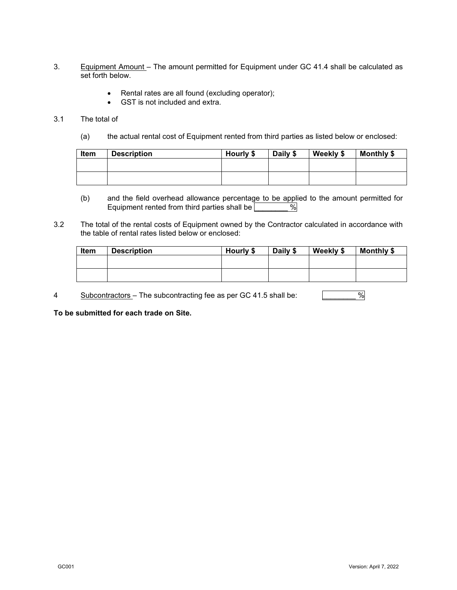- 3. Equipment Amount The amount permitted for Equipment under GC 41.4 shall be calculated as set forth below.
	- Rental rates are all found (excluding operator);
	- GST is not included and extra.

#### 3.1 The total of

(a) the actual rental cost of Equipment rented from third parties as listed below or enclosed:

| Item | <b>Description</b> | Hourly \$ | Daily \$ | Weekly \$ | Monthly \$ |
|------|--------------------|-----------|----------|-----------|------------|
|      |                    |           |          |           |            |
|      |                    |           |          |           |            |

- (b) and the field overhead allowance percentage to be applied to the amount permitted for Equipment rented from third parties shall be  $\sqrt{\frac{20}{10}}$ Equipment rented from third parties shall be
- 3.2 The total of the rental costs of Equipment owned by the Contractor calculated in accordance with the table of rental rates listed below or enclosed:

| Item | <b>Description</b> | Hourly \$ | Daily \$ | Weekly \$ | Monthly \$ |
|------|--------------------|-----------|----------|-----------|------------|
|      |                    |           |          |           |            |
|      |                    |           |          |           |            |
|      |                    |           |          |           |            |

4 Subcontractors – The subcontracting fee as per GC 41.5 shall be:

**To be submitted for each trade on Site.**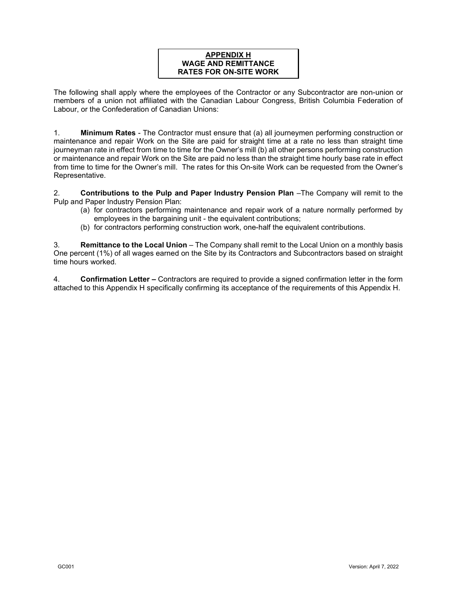## **APPENDIX H WAGE AND REMITTANCE RATES FOR ON-SITE WORK**

The following shall apply where the employees of the Contractor or any Subcontractor are non-union or members of a union not affiliated with the Canadian Labour Congress, British Columbia Federation of Labour, or the Confederation of Canadian Unions:

1. **Minimum Rates** - The Contractor must ensure that (a) all journeymen performing construction or maintenance and repair Work on the Site are paid for straight time at a rate no less than straight time journeyman rate in effect from time to time for the Owner's mill (b) all other persons performing construction or maintenance and repair Work on the Site are paid no less than the straight time hourly base rate in effect from time to time for the Owner's mill. The rates for this On-site Work can be requested from the Owner's Representative.

2. **Contributions to the Pulp and Paper Industry Pension Plan** –The Company will remit to the Pulp and Paper Industry Pension Plan:

- (a) for contractors performing maintenance and repair work of a nature normally performed by employees in the bargaining unit - the equivalent contributions;
- (b) for contractors performing construction work, one-half the equivalent contributions.

3. **Remittance to the Local Union** – The Company shall remit to the Local Union on a monthly basis One percent (1%) of all wages earned on the Site by its Contractors and Subcontractors based on straight time hours worked.

4. **Confirmation Letter –** Contractors are required to provide a signed confirmation letter in the form attached to this Appendix H specifically confirming its acceptance of the requirements of this Appendix H.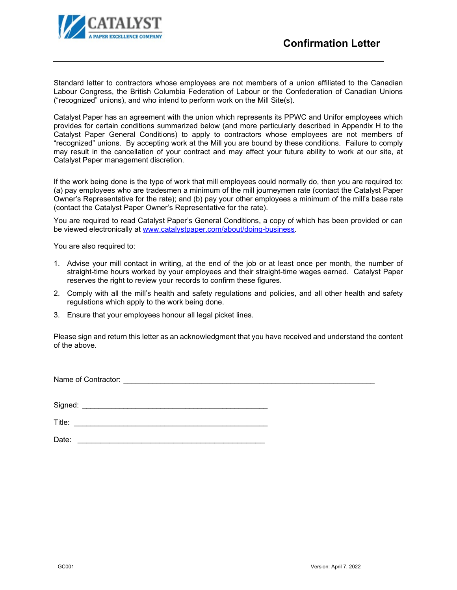

Standard letter to contractors whose employees are not members of a union affiliated to the Canadian Labour Congress, the British Columbia Federation of Labour or the Confederation of Canadian Unions ("recognized" unions), and who intend to perform work on the Mill Site(s).

Catalyst Paper has an agreement with the union which represents its PPWC and Unifor employees which provides for certain conditions summarized below (and more particularly described in Appendix H to the Catalyst Paper General Conditions) to apply to contractors whose employees are not members of "recognized" unions. By accepting work at the Mill you are bound by these conditions. Failure to comply may result in the cancellation of your contract and may affect your future ability to work at our site, at Catalyst Paper management discretion.

If the work being done is the type of work that mill employees could normally do, then you are required to: (a) pay employees who are tradesmen a minimum of the mill journeymen rate (contact the Catalyst Paper Owner's Representative for the rate); and (b) pay your other employees a minimum of the mill's base rate (contact the Catalyst Paper Owner's Representative for the rate).

You are required to read Catalyst Paper's General Conditions, a copy of which has been provided or can be viewed electronically at [www.catalystpaper.com/about/doing-business.](http://www.catalystpaper.com/about/doing-business)

You are also required to:

- 1. Advise your mill contact in writing, at the end of the job or at least once per month, the number of straight-time hours worked by your employees and their straight-time wages earned. Catalyst Paper reserves the right to review your records to confirm these figures.
- 2. Comply with all the mill's health and safety regulations and policies, and all other health and safety regulations which apply to the work being done.
- 3. Ensure that your employees honour all legal picket lines.

Please sign and return this letter as an acknowledgment that you have received and understand the content of the above.

Name of Contractor: \_\_\_\_\_\_\_\_\_\_\_\_\_\_\_\_\_\_\_\_\_\_\_\_\_\_\_\_\_\_\_\_\_\_\_\_\_\_\_\_\_\_\_\_\_\_\_\_\_\_\_\_\_\_\_\_\_\_\_\_\_

Signed: \_\_\_\_\_\_\_\_\_\_\_\_\_\_\_\_\_\_\_\_\_\_\_\_\_\_\_\_\_\_\_\_\_\_\_\_\_\_\_\_\_\_\_\_\_

 $\blacksquare$  Title:

Date: \_\_\_\_\_\_\_\_\_\_\_\_\_\_\_\_\_\_\_\_\_\_\_\_\_\_\_\_\_\_\_\_\_\_\_\_\_\_\_\_\_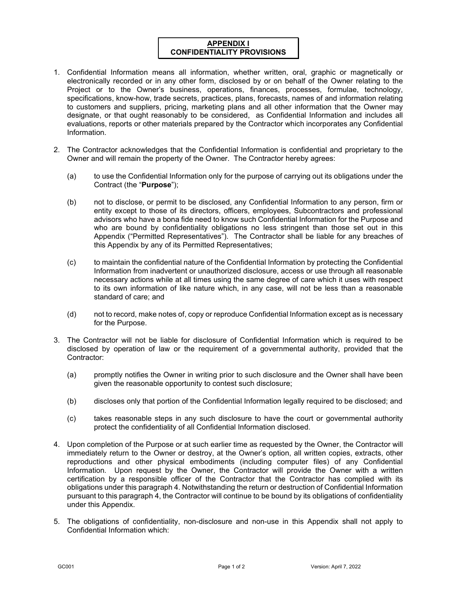## **APPENDIX I CONFIDENTIALITY PROVISIONS**

- 1. Confidential Information means all information, whether written, oral, graphic or magnetically or electronically recorded or in any other form, disclosed by or on behalf of the Owner relating to the Project or to the Owner's business, operations, finances, processes, formulae, technology, specifications, know-how, trade secrets, practices, plans, forecasts, names of and information relating to customers and suppliers, pricing, marketing plans and all other information that the Owner may designate, or that ought reasonably to be considered, as Confidential Information and includes all evaluations, reports or other materials prepared by the Contractor which incorporates any Confidential Information.
- 2. The Contractor acknowledges that the Confidential Information is confidential and proprietary to the Owner and will remain the property of the Owner. The Contractor hereby agrees:
	- (a) to use the Confidential Information only for the purpose of carrying out its obligations under the Contract (the "**Purpose**");
	- (b) not to disclose, or permit to be disclosed, any Confidential Information to any person, firm or entity except to those of its directors, officers, employees, Subcontractors and professional advisors who have a bona fide need to know such Confidential Information for the Purpose and who are bound by confidentiality obligations no less stringent than those set out in this Appendix ("Permitted Representatives"). The Contractor shall be liable for any breaches of this Appendix by any of its Permitted Representatives;
	- (c) to maintain the confidential nature of the Confidential Information by protecting the Confidential Information from inadvertent or unauthorized disclosure, access or use through all reasonable necessary actions while at all times using the same degree of care which it uses with respect to its own information of like nature which, in any case, will not be less than a reasonable standard of care; and
	- (d) not to record, make notes of, copy or reproduce Confidential Information except as is necessary for the Purpose.
- 3. The Contractor will not be liable for disclosure of Confidential Information which is required to be disclosed by operation of law or the requirement of a governmental authority, provided that the Contractor:
	- (a) promptly notifies the Owner in writing prior to such disclosure and the Owner shall have been given the reasonable opportunity to contest such disclosure;
	- (b) discloses only that portion of the Confidential Information legally required to be disclosed; and
	- (c) takes reasonable steps in any such disclosure to have the court or governmental authority protect the confidentiality of all Confidential Information disclosed.
- 4. Upon completion of the Purpose or at such earlier time as requested by the Owner, the Contractor will immediately return to the Owner or destroy, at the Owner's option, all written copies, extracts, other reproductions and other physical embodiments (including computer files) of any Confidential Information. Upon request by the Owner, the Contractor will provide the Owner with a written certification by a responsible officer of the Contractor that the Contractor has complied with its obligations under this paragraph 4. Notwithstanding the return or destruction of Confidential Information pursuant to this paragraph 4, the Contractor will continue to be bound by its obligations of confidentiality under this Appendix.
- 5. The obligations of confidentiality, non-disclosure and non-use in this Appendix shall not apply to Confidential Information which: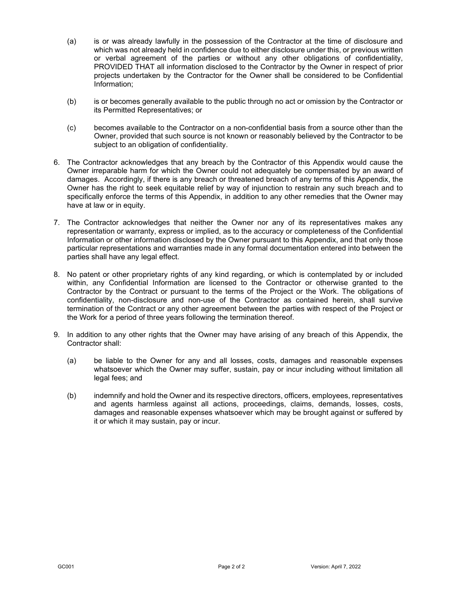- (a) is or was already lawfully in the possession of the Contractor at the time of disclosure and which was not already held in confidence due to either disclosure under this, or previous written or verbal agreement of the parties or without any other obligations of confidentiality, PROVIDED THAT all information disclosed to the Contractor by the Owner in respect of prior projects undertaken by the Contractor for the Owner shall be considered to be Confidential Information;
- (b) is or becomes generally available to the public through no act or omission by the Contractor or its Permitted Representatives; or
- (c) becomes available to the Contractor on a non-confidential basis from a source other than the Owner, provided that such source is not known or reasonably believed by the Contractor to be subject to an obligation of confidentiality.
- 6. The Contractor acknowledges that any breach by the Contractor of this Appendix would cause the Owner irreparable harm for which the Owner could not adequately be compensated by an award of damages. Accordingly, if there is any breach or threatened breach of any terms of this Appendix, the Owner has the right to seek equitable relief by way of injunction to restrain any such breach and to specifically enforce the terms of this Appendix, in addition to any other remedies that the Owner may have at law or in equity.
- 7. The Contractor acknowledges that neither the Owner nor any of its representatives makes any representation or warranty, express or implied, as to the accuracy or completeness of the Confidential Information or other information disclosed by the Owner pursuant to this Appendix, and that only those particular representations and warranties made in any formal documentation entered into between the parties shall have any legal effect.
- 8. No patent or other proprietary rights of any kind regarding, or which is contemplated by or included within, any Confidential Information are licensed to the Contractor or otherwise granted to the Contractor by the Contract or pursuant to the terms of the Project or the Work. The obligations of confidentiality, non-disclosure and non-use of the Contractor as contained herein, shall survive termination of the Contract or any other agreement between the parties with respect of the Project or the Work for a period of three years following the termination thereof.
- 9. In addition to any other rights that the Owner may have arising of any breach of this Appendix, the Contractor shall:
	- (a) be liable to the Owner for any and all losses, costs, damages and reasonable expenses whatsoever which the Owner may suffer, sustain, pay or incur including without limitation all legal fees; and
	- (b) indemnify and hold the Owner and its respective directors, officers, employees, representatives and agents harmless against all actions, proceedings, claims, demands, losses, costs, damages and reasonable expenses whatsoever which may be brought against or suffered by it or which it may sustain, pay or incur.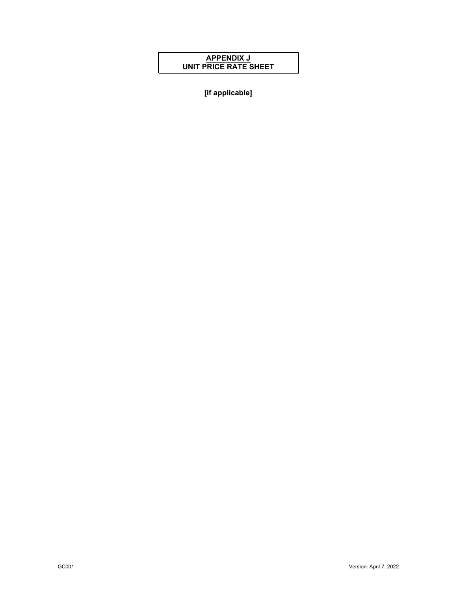## **APPENDIX J UNIT PRICE RATE SHEET**

**[if applicable]**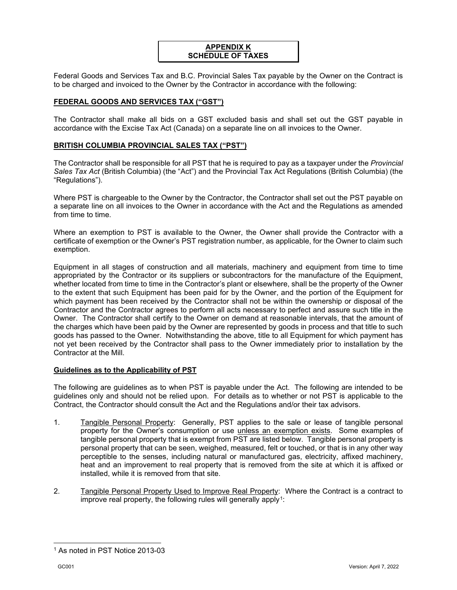## **APPENDIX K SCHEDULE OF TAXES**

Federal Goods and Services Tax and B.C. Provincial Sales Tax payable by the Owner on the Contract is to be charged and invoiced to the Owner by the Contractor in accordance with the following:

## **FEDERAL GOODS AND SERVICES TAX ("GST")**

The Contractor shall make all bids on a GST excluded basis and shall set out the GST payable in accordance with the Excise Tax Act (Canada) on a separate line on all invoices to the Owner.

#### **BRITISH COLUMBIA PROVINCIAL SALES TAX ("PST")**

The Contractor shall be responsible for all PST that he is required to pay as a taxpayer under the *Provincial Sales Tax Act* (British Columbia) (the "Act") and the Provincial Tax Act Regulations (British Columbia) (the "Regulations").

Where PST is chargeable to the Owner by the Contractor, the Contractor shall set out the PST payable on a separate line on all invoices to the Owner in accordance with the Act and the Regulations as amended from time to time.

Where an exemption to PST is available to the Owner, the Owner shall provide the Contractor with a certificate of exemption or the Owner's PST registration number, as applicable, for the Owner to claim such exemption.

Equipment in all stages of construction and all materials, machinery and equipment from time to time appropriated by the Contractor or its suppliers or subcontractors for the manufacture of the Equipment, whether located from time to time in the Contractor's plant or elsewhere, shall be the property of the Owner to the extent that such Equipment has been paid for by the Owner, and the portion of the Equipment for which payment has been received by the Contractor shall not be within the ownership or disposal of the Contractor and the Contractor agrees to perform all acts necessary to perfect and assure such title in the Owner. The Contractor shall certify to the Owner on demand at reasonable intervals, that the amount of the charges which have been paid by the Owner are represented by goods in process and that title to such goods has passed to the Owner. Notwithstanding the above, title to all Equipment for which payment has not yet been received by the Contractor shall pass to the Owner immediately prior to installation by the Contractor at the Mill.

#### **Guidelines as to the Applicability of PST**

The following are guidelines as to when PST is payable under the Act. The following are intended to be guidelines only and should not be relied upon. For details as to whether or not PST is applicable to the Contract, the Contractor should consult the Act and the Regulations and/or their tax advisors.

- 1. Tangible Personal Property: Generally, PST applies to the sale or lease of tangible personal property for the Owner's consumption or use unless an exemption exists. Some examples of tangible personal property that is exempt from PST are listed below. Tangible personal property is personal property that can be seen, weighed, measured, felt or touched, or that is in any other way perceptible to the senses, including natural or manufactured gas, electricity, affixed machinery, heat and an improvement to real property that is removed from the site at which it is affixed or installed, while it is removed from that site.
- 2. Tangible Personal Property Used to Improve Real Property: Where the Contract is a contract to improve real property, the following rules will generally apply<sup>1</sup>:

<span id="page-52-0"></span><sup>1</sup> As noted in PST Notice 2013-03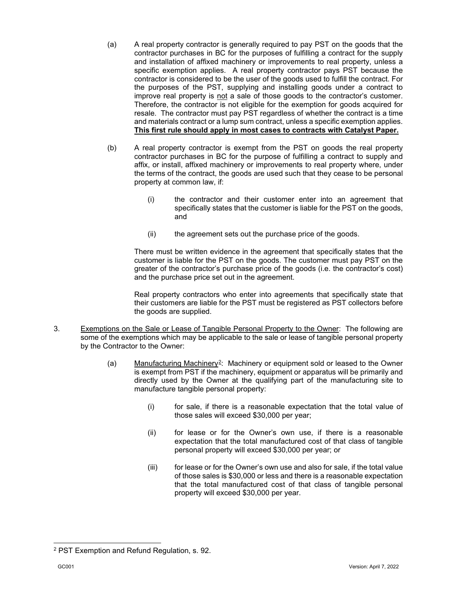- (a) A real property contractor is generally required to pay PST on the goods that the contractor purchases in BC for the purposes of fulfilling a contract for the supply and installation of affixed machinery or improvements to real property, unless a specific exemption applies. A real property contractor pays PST because the contractor is considered to be the user of the goods used to fulfill the contract. For the purposes of the PST, supplying and installing goods under a contract to improve real property is not a sale of those goods to the contractor's customer. Therefore, the contractor is not eligible for the exemption for goods acquired for resale. The contractor must pay PST regardless of whether the contract is a time and materials contract or a lump sum contract, unless a specific exemption applies. **This first rule should apply in most cases to contracts with Catalyst Paper.**
- (b) A real property contractor is exempt from the PST on goods the real property contractor purchases in BC for the purpose of fulfilling a contract to supply and affix, or install, affixed machinery or improvements to real property where, under the terms of the contract, the goods are used such that they cease to be personal property at common law, if:
	- (i) the contractor and their customer enter into an agreement that specifically states that the customer is liable for the PST on the goods, and
	- (ii) the agreement sets out the purchase price of the goods.

There must be written evidence in the agreement that specifically states that the customer is liable for the PST on the goods. The customer must pay PST on the greater of the contractor's purchase price of the goods (i.e. the contractor's cost) and the purchase price set out in the agreement.

Real property contractors who enter into agreements that specifically state that their customers are liable for the PST must be registered as PST collectors before the goods are supplied.

- 3. Exemptions on the Sale or Lease of Tangible Personal Property to the Owner: The following are some of the exemptions which may be applicable to the sale or lease of tangible personal property by the Contractor to the Owner:
	- (a) Manufacturing Machinery<sup>2</sup>: Machinery or equipment sold or leased to the Owner is exempt from PST if the machinery, equipment or apparatus will be primarily and directly used by the Owner at the qualifying part of the manufacturing site to manufacture tangible personal property:
		- (i) for sale, if there is a reasonable expectation that the total value of those sales will exceed \$30,000 per year;
		- (ii) for lease or for the Owner's own use, if there is a reasonable expectation that the total manufactured cost of that class of tangible personal property will exceed \$30,000 per year; or
		- (iii) for lease or for the Owner's own use and also for sale, if the total value of those sales is \$30,000 or less and there is a reasonable expectation that the total manufactured cost of that class of tangible personal property will exceed \$30,000 per year.

<span id="page-53-0"></span><sup>2</sup> PST Exemption and Refund Regulation, s. 92.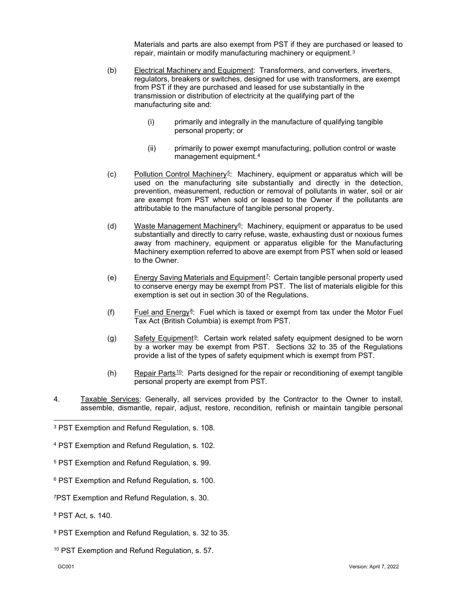Materials and parts are also exempt from PST if they are purchased or leased to repair, maintain or modify manufacturing machinery or equipment.<sup>[3](#page-54-0)</sup>

- (b) Electrical Machinery and Equipment: Transformers, and converters, inverters, regulators, breakers or switches, designed for use with transformers, are exempt from PST if they are purchased and leased for use substantially in the transmission or distribution of electricity at the qualifying part of the manufacturing site and:
	- (i) primarily and integrally in the manufacture of qualifying tangible personal property; or
	- (ii) primarily to power exempt manufacturing, pollution control or waste management equipment.[4](#page-54-1)
- (c) Pollution Control Machinery<sup>[5](#page-54-2)</sup>: Machinery, equipment or apparatus which will be used on the manufacturing site substantially and directly in the detection, prevention, measurement, reduction or removal of pollutants in water, soil or air are exempt from PST when sold or leased to the Owner if the pollutants are attributable to the manufacture of tangible personal property.
- (d) Waste Management Machinery  $\mathfrak{g}$ : Machinery, equipment or apparatus to be used substantially and directly to carry refuse, waste, exhausting dust or noxious fumes away from machinery, equipment or apparatus eligible for the Manufacturing Machinery exemption referred to above are exempt from PST when sold or leased to the Owner.
- (e) Energy Saving Materials and Equipment[7](#page-54-4): Certain tangible personal property used to conserve energy may be exempt from PST. The list of materials eligible for this exemption is set out in section 30 of the Regulations.
- (f) Fuel and Energy<sup>[8](#page-54-5)</sup>: Fuel which is taxed or exempt from tax under the Motor Fuel Tax Act (British Columbia) is exempt from PST.
- (g) Safety Equipment<sup>9</sup>: Certain work related safety equipment designed to be worn by a worker may be exempt from PST. Sections 32 to 35 of the Regulations provide a list of the types of safety equipment which is exempt from PST.
- (h) Repair Parts  $10$ : Parts designed for the repair or reconditioning of exempt tangible personal property are exempt from PST.
- 4. Taxable Services: Generally, all services provided by the Contractor to the Owner to install, assemble, dismantle, repair, adjust, restore, recondition, refinish or maintain tangible personal

- <span id="page-54-1"></span><sup>4</sup> PST Exemption and Refund Regulation, s. 102.
- <span id="page-54-2"></span><sup>5</sup> PST Exemption and Refund Regulation, s. 99.
- <span id="page-54-3"></span><sup>6</sup> PST Exemption and Refund Regulation, s. 100.
- <span id="page-54-4"></span>7PST Exemption and Refund Regulation, s. 30.
- <span id="page-54-5"></span><sup>8</sup> PST Act, s. 140.
- <span id="page-54-6"></span><sup>9</sup> PST Exemption and Refund Regulation, s. 32 to 35.
- <span id="page-54-7"></span><sup>10</sup> PST Exemption and Refund Regulation, s. 57.

<span id="page-54-0"></span><sup>3</sup> PST Exemption and Refund Regulation, s. 108.